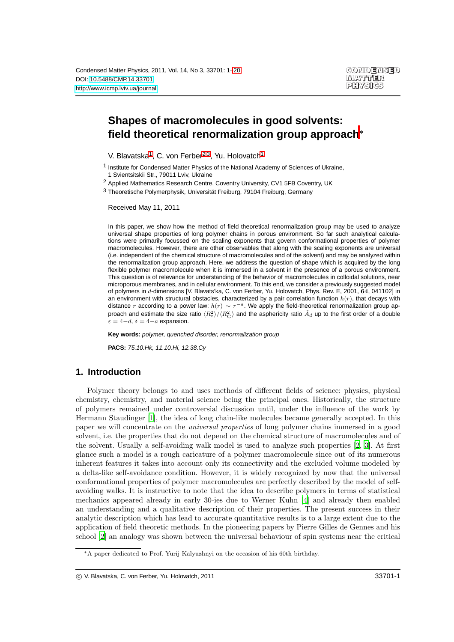# **Shapes of macromolecules in good solvents: field theoretical renormalization group approach**<sup>∗</sup>

<span id="page-0-0"></span>V. Blavatska<sup>[1](#page-0-0)</sup>, C. von Ferber<sup>[2](#page-0-1)[,3](#page-0-2)</sup>, Yu. Holovatch<sup>1</sup>

<span id="page-0-2"></span><span id="page-0-1"></span>2 Applied Mathematics Research Centre, Coventry University, CV1 5FB Coventry, UK

3 Theoretische Polymerphysik, Universität Freiburg, 79104 Freiburg, Germany

Received May 11, 2011

In this paper, we show how the method of field theoretical renormalization group may be used to analyze universal shape properties of long polymer chains in porous environment. So far such analytical calculations were primarily focussed on the scaling exponents that govern conformational properties of polymer macromolecules. However, there are other observables that along with the scaling exponents are universal (i.e. independent of the chemical structure of macromolecules and of the solvent) and may be analyzed within the renormalization group approach. Here, we address the question of shape which is acquired by the long flexible polymer macromolecule when it is immersed in a solvent in the presence of a porous environment. This question is of relevance for understanding of the behavior of macromolecules in colloidal solutions, near microporous membranes, and in cellular environment. To this end, we consider a previously suggested model of polymers in d-dimensions [V. Blavats'ka, C. von Ferber, Yu. Holovatch, Phys. Rev. E, 2001, 64, 041102] in an environment with structural obstacles, characterized by a pair correlation function  $h(r)$ , that decays with distance r according to a power law:  $h(r) \sim r^{-a}$ . We apply the field-theoretical renormalization group approach and estimate the size ratio  $\langle R_{\rm e}^2\rangle/\langle R_{\rm G}^2\rangle$  and the asphericity ratio  $\hat A_d$  up to the first order of a double  $\varepsilon = 4-d, \delta = 4-a$  expansion.

**Key words:** polymer, quenched disorder, renormalization group

**PACS:** 75.10.Hk, 11.10.Hi, 12.38.Cy

# **1. Introduction**

Polymer theory belongs to and uses methods of different fields of science: physics, physical chemistry, chemistry, and material science being the principal ones. Historically, the structure of polymers remained under controversial discussion until, under the influence of the work by Hermann Staudinger [\[1](#page-17-0)], the idea of long chain-like molecules became generally accepted. In this paper we will concentrate on the universal properties of long polymer chains immersed in a good solvent, i.e. the properties that do not depend on the chemical structure of macromolecules and of the solvent. Usually a self-avoiding walk model is used to analyze such properties [\[2](#page-17-1), [3\]](#page-17-2). At first glance such a model is a rough caricature of a polymer macromolecule since out of its numerous inherent features it takes into account only its connectivity and the excluded volume modeled by a delta-like self-avoidance condition. However, it is widely recognized by now that the universal conformational properties of polymer macromolecules are perfectly described by the model of selfavoiding walks. It is instructive to note that the idea to describe polymers in terms of statistical mechanics appeared already in early 30-ies due to Werner Kuhn [\[4\]](#page-17-3) and already then enabled an understanding and a qualitative description of their properties. The present success in their analytic description which has lead to accurate quantitative results is to a large extent due to the application of field theoretic methods. In the pioneering papers by Pierre Gilles de Gennes and his school [\[2\]](#page-17-1) an analogy was shown between the universal behaviour of spin systems near the critical

<sup>1</sup> Institute for Condensed Matter Physics of the National Academy of Sciences of Ukraine, 1 Svientsitskii Str., 79011 Lviv, Ukraine

<sup>∗</sup>A paper dedicated to Prof. Yurij Kalyuzhnyi on the occasion of his 60th birthday.

c V. Blavatska, C. von Ferber, Yu. Holovatch, 2011 33701-1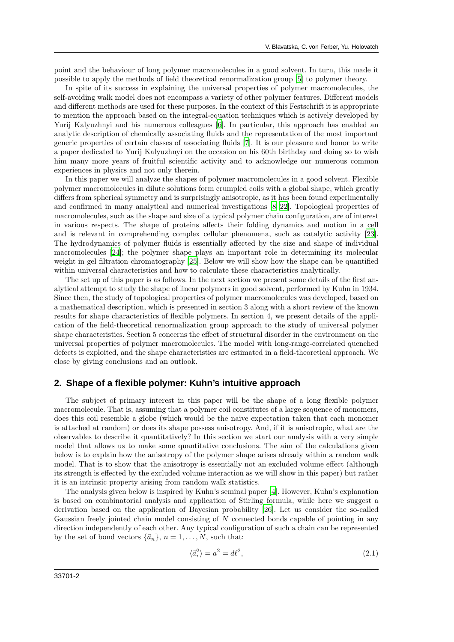point and the behaviour of long polymer macromolecules in a good solvent. In turn, this made it possible to apply the methods of field theoretical renormalization group [\[5\]](#page-17-4) to polymer theory.

In spite of its success in explaining the universal properties of polymer macromolecules, the self-avoiding walk model does not encompass a variety of other polymer features. Different models and different methods are used for these purposes. In the context of this Festschrift it is appropriate to mention the approach based on the integral-equation techniques which is actively developed by Yurij Kalyuzhnyi and his numerous colleagues [\[6\]](#page-17-5). In particular, this approach has enabled an analytic description of chemically associating fluids and the representation of the most important generic properties of certain classes of associating fluids [\[7](#page-17-6)]. It is our pleasure and honor to write a paper dedicated to Yurij Kalyuzhnyi on the occasion on his 60th birthday and doing so to wish him many more years of fruitful scientific activity and to acknowledge our numerous common experiences in physics and not only therein.

In this paper we will analyze the shapes of polymer macromolecules in a good solvent. Flexible polymer macromolecules in dilute solutions form crumpled coils with a global shape, which greatly differs from spherical symmetry and is surprisingly anisotropic, as it has been found experimentally and confirmed in many analytical and numerical investigations [\[8](#page-17-7)[–22\]](#page-18-0). Topological properties of macromolecules, such as the shape and size of a typical polymer chain configuration, are of interest in various respects. The shape of proteins affects their folding dynamics and motion in a cell and is relevant in comprehending complex cellular phenomena, such as catalytic activity [\[23\]](#page-18-1). The hydrodynamics of polymer fluids is essentially affected by the size and shape of individual macromolecules [\[24\]](#page-18-2); the polymer shape plays an important role in determining its molecular weight in gel filtration chromatography [\[25](#page-18-3)]. Below we will show how the shape can be quantified within universal characteristics and how to calculate these characteristics analytically.

The set up of this paper is as follows. In the next section we present some details of the first analytical attempt to study the shape of linear polymers in good solvent, performed by Kuhn in 1934. Since then, the study of topological properties of polymer macromolecules was developed, based on a mathematical description, which is presented in section 3 along with a short review of the known results for shape characteristics of flexible polymers. In section 4, we present details of the application of the field-theoretical renormalization group approach to the study of universal polymer shape characteristics. Section 5 concerns the effect of structural disorder in the environment on the universal properties of polymer macromolecules. The model with long-range-correlated quenched defects is exploited, and the shape characteristics are estimated in a field-theoretical approach. We close by giving conclusions and an outlook.

## **2. Shape of a flexible polymer: Kuhn's intuitive approach**

The subject of primary interest in this paper will be the shape of a long flexible polymer macromolecule. That is, assuming that a polymer coil constitutes of a large sequence of monomers, does this coil resemble a globe (which would be the naive expectation taken that each monomer is attached at random) or does its shape possess anisotropy. And, if it is anisotropic, what are the observables to describe it quantitatively? In this section we start our analysis with a very simple model that allows us to make some quantitative conclusions. The aim of the calculations given below is to explain how the anisotropy of the polymer shape arises already within a random walk model. That is to show that the anisotropy is essentially not an excluded volume effect (although its strength is effected by the excluded volume interaction as we will show in this paper) but rather it is an intrinsic property arising from random walk statistics.

The analysis given below is inspired by Kuhn's seminal paper [\[4\]](#page-17-3). However, Kuhn's explanation is based on combinatorial analysis and application of Stirling formula, while here we suggest a derivation based on the application of Bayesian probability [\[26](#page-18-4)]. Let us consider the so-called Gaussian freely jointed chain model consisting of N connected bonds capable of pointing in any direction independently of each other. Any typical configuration of such a chain can be represented by the set of bond vectors  $\{\vec{a}_n\}$ ,  $n = 1, ..., N$ , such that:

$$
\langle \vec{a}_i^2 \rangle = a^2 = d\ell^2,\tag{2.1}
$$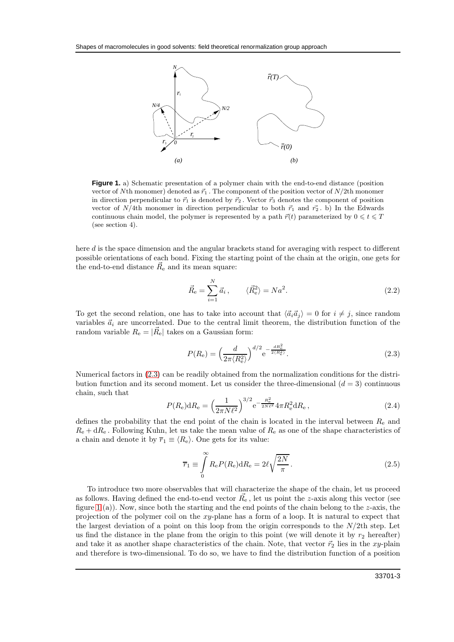

<span id="page-2-1"></span>**Figure 1.** a) Schematic presentation of a polymer chain with the end-to-end distance (position vector of Nth monomer) denoted as  $\vec{r}_1$ . The component of the position vector of N/2th monomer in direction perpendicular to  $\vec{r}_1$  is denoted by  $\vec{r}_2$ . Vector  $\vec{r}_3$  denotes the component of position vector of N/4th monomer in direction perpendicular to both  $\vec{r}_1$  and  $\vec{r}_2$ . b) In the Edwards continuous chain model, the polymer is represented by a path  $\vec{r}(t)$  parameterized by  $0 \leq t \leq T$ (see section 4).

here d is the space dimension and the angular brackets stand for averaging with respect to different possible orientations of each bond. Fixing the starting point of the chain at the origin, one gets for the end-to-end distance  $\vec{R}_{e}$  and its mean square:

$$
\vec{R}_{\rm e} = \sum_{i=1}^{N} \vec{a}_i, \qquad \langle \vec{R}_{\rm e}^2 \rangle = Na^2. \tag{2.2}
$$

To get the second relation, one has to take into account that  $\langle \vec{a}_i \vec{a}_j \rangle = 0$  for  $i \neq j$ , since random variables  $\vec{a}_i$  are uncorrelated. Due to the central limit theorem, the distribution function of the random variable  $R_{\rm e} = |\vec{R}_{\rm e}|$  takes on a Gaussian form:

<span id="page-2-0"></span>
$$
P(R_e) = \left(\frac{d}{2\pi \langle R_e^2 \rangle}\right)^{d/2} e^{-\frac{dR_e^2}{2 \langle R_e^2 \rangle}}.
$$
\n(2.3)

Numerical factors in [\(2.3\)](#page-2-0) can be readily obtained from the normalization conditions for the distribution function and its second moment. Let us consider the three-dimensional  $(d = 3)$  continuous chain, such that

$$
P(R_{\rm e})\mathrm{d}R_{\rm e} = \left(\frac{1}{2\pi N\ell^2}\right)^{3/2} \mathrm{e}^{-\frac{R_{\rm e}^2}{2N\ell^2}} 4\pi R_{\rm e}^2 \mathrm{d}R_{\rm e} \,,\tag{2.4}
$$

defines the probability that the end point of the chain is located in the interval between  $R_e$  and  $R_{\rm e}$  + d $R_{\rm e}$ . Following Kuhn, let us take the mean value of  $R_{\rm e}$  as one of the shape characteristics of a chain and denote it by  $\overline{r}_1 \equiv \langle R_e \rangle$ . One gets for its value:

<span id="page-2-2"></span>
$$
\overline{r}_1 \equiv \int_0^\infty R_e P(R_e) \mathrm{d}R_e = 2\ell \sqrt{\frac{2N}{\pi}}.
$$
\n(2.5)

To introduce two more observables that will characterize the shape of the chain, let us proceed as follows. Having defined the end-to-end vector  $\vec{R_{e}}$ , let us point the *z*-axis along this vector (see figure [1](#page-2-1) (a)). Now, since both the starting and the end points of the chain belong to the  $z$ -axis, the projection of the polymer coil on the xy-plane has a form of a loop. It is natural to expect that the largest deviation of a point on this loop from the origin corresponds to the  $N/2$ th step. Let us find the distance in the plane from the origin to this point (we will denote it by  $r_2$  hereafter) and take it as another shape characteristics of the chain. Note, that vector  $\vec{r}_2$  lies in the xy-plain and therefore is two-dimensional. To do so, we have to find the distribution function of a position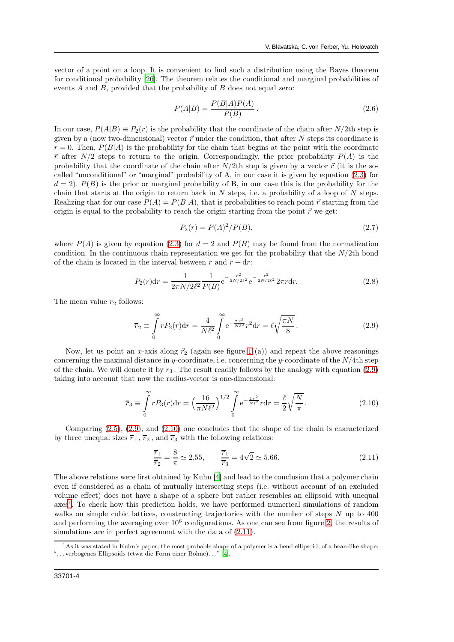vector of a point on a loop. It is convenient to find such a distribution using the Bayes theorem for conditional probability [\[26](#page-18-4)]. The theorem relates the conditional and marginal probabilities of events  $A$  and  $B$ , provided that the probability of  $B$  does not equal zero:

$$
P(A|B) = \frac{P(B|A)P(A)}{P(B)}.
$$
\n(2.6)

In our case,  $P(A|B) \equiv P_2(r)$  is the probability that the coordinate of the chain after N/2th step is given by a (now two-dimensional) vector  $\vec{r}$  under the condition, that after N steps its coordinate is  $r = 0$ . Then,  $P(B|A)$  is the probability for the chain that begins at the point with the coordinate  $\vec{r}$  after  $N/2$  steps to return to the origin. Correspondingly, the prior probability  $P(A)$  is the probability that the coordinate of the chain after  $N/2$ th step is given by a vector  $\vec{r}$  (it is the socalled "unconditional" or "marginal" probability of A, in our case it is given by equation [\(2.3\)](#page-2-0) for  $d = 2$ ).  $P(B)$  is the prior or marginal probability of B, in our case this is the probability for the chain that starts at the origin to return back in  $N$  steps, i.e. a probability of a loop of  $N$  steps. Realizing that for our case  $P(A) = P(B|A)$ , that is probabilities to reach point  $\vec{r}$  starting from the origin is equal to the probability to reach the origin starting from the point  $\vec{r}$  we get:

$$
P_2(r) = P(A)^2 / P(B),\tag{2.7}
$$

where  $P(A)$  is given by equation [\(2.3\)](#page-2-0) for  $d = 2$  and  $P(B)$  may be found from the normalization condition. In the continuous chain representation we get for the probability that the  $N/2$ th bond of the chain is located in the interval between r and  $r + dr$ :

$$
P_2(r)dr = \frac{1}{2\pi N/2\ell^2} \frac{1}{P(B)} e^{-\frac{r^2}{2N/2\ell^2}} e^{-\frac{r^2}{2N/2\ell^2}} 2\pi r dr.
$$
 (2.8)

The mean value  $r_2$  follows:

<span id="page-3-0"></span>
$$
\overline{r}_2 \equiv \int_0^\infty r P_2(r) dr = \frac{4}{N\ell^2} \int_0^\infty e^{-\frac{2r^2}{N\ell^2}} r^2 dr = \ell \sqrt{\frac{\pi N}{8}}.
$$
\n(2.9)

Now, let us point an x-axis along  $\vec{r}_2$  (again see figure [1](#page-2-1) (a)) and repeat the above reasonings concerning the maximal distance in y-coordinate, i.e. concerning the y-coordinate of the  $N/4$ th step of the chain. We will denote it by  $r_3$ . The result readily follows by the analogy with equation [\(2.9\)](#page-3-0) taking into account that now the radius-vector is one-dimensional:

<span id="page-3-1"></span>
$$
\overline{r}_3 \equiv \int_0^\infty r P_3(r) dr = \left(\frac{16}{\pi N \ell^2}\right)^{1/2} \int_0^\infty e^{-\frac{4r^2}{N \ell^2}} r dr = \frac{\ell}{2} \sqrt{\frac{N}{\pi}}.
$$
\n(2.10)

Comparing [\(2.5\)](#page-2-2), [\(2.9\)](#page-3-0), and [\(2.10\)](#page-3-1) one concludes that the shape of the chain is characterized by three unequal sizes  $\overline{r}_1$ ,  $\overline{r}_2$ , and  $\overline{r}_3$  with the following relations:

<span id="page-3-3"></span>
$$
\frac{\overline{r}_1}{\overline{r}_2} = \frac{8}{\pi} \simeq 2.55, \qquad \frac{\overline{r}_1}{\overline{r}_3} = 4\sqrt{2} \simeq 5.66. \tag{2.11}
$$

The above relations were first obtained by Kuhn [\[4\]](#page-17-3) and lead to the conclusion that a polymer chain even if considered as a chain of mutually intersecting steps (i.e. without account of an excluded volume effect) does not have a shape of a sphere but rather resembles an ellipsoid with unequal axes<sup>[1](#page-3-2)</sup>. To check how this prediction holds, we have performed numerical simulations of random walks on simple cubic lattices, constructing trajectories with the number of steps N up to 400 and performing the averaging over  $10^6$  configurations. As one can see from figure [2,](#page-4-0) the results of simulations are in perfect agreement with the data of  $(2.11)$ .

<span id="page-3-2"></span> $<sup>1</sup>$ As it was stated in Kuhn's paper, the most probable shape of a polymer is a bend ellipsoid, of a bean-like shape:</sup> ". . . verbogenes Ellipsoids (etwa die Form einer Bohne). . . " [\[4\]](#page-17-3).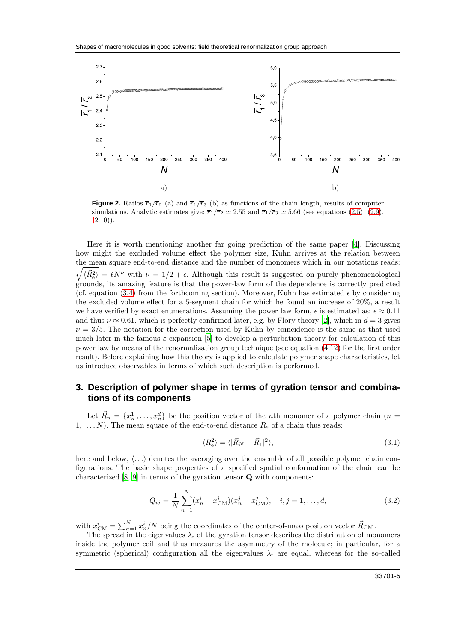

<span id="page-4-0"></span>**Figure 2.** Ratios  $\overline{r_1}/\overline{r_2}$  (a) and  $\overline{r_1}/\overline{r_3}$  (b) as functions of the chain length, results of computer simulations. Analytic estimates give:  $\overline{r}_1/\overline{r}_2 \simeq 2.55$  and  $\overline{r}_1/\overline{r}_3 \simeq 5.66$  (see equations [\(2.5\)](#page-2-2), [\(2.9\)](#page-3-0),  $(2.10)$ ).

Here it is worth mentioning another far going prediction of the same paper [\[4\]](#page-17-3). Discussing how might the excluded volume effect the polymer size, Kuhn arrives at the relation between the mean square end-to-end distance and the number of monomers which in our notations reads:

 $\sqrt{\langle \vec{R}_{e}^2 \rangle} = \ell N^{\nu}$  with  $\nu = 1/2 + \epsilon$ . Although this result is suggested on purely phenomenological grounds, its amazing feature is that the power-law form of the dependence is correctly predicted (cf. equation [\(3.4\)](#page-5-0) from the forthcoming section). Moreover, Kuhn has estimated  $\epsilon$  by considering the excluded volume effect for a 5-segment chain for which he found an increase of 20%, a result we have verified by exact enumerations. Assuming the power law form,  $\epsilon$  is estimated as:  $\epsilon \approx 0.11$ and thus  $\nu \approx 0.61$ , which is perfectly confirmed later, e.g. by Flory theory [\[2\]](#page-17-1), which in  $d = 3$  gives  $\nu = 3/5$ . The notation for the correction used by Kuhn by coincidence is the same as that used much later in the famous  $\varepsilon$ -expansion [\[5\]](#page-17-4) to develop a perturbation theory for calculation of this power law by means of the renormalization group technique (see equation [\(4.12\)](#page-8-0) for the first order result). Before explaining how this theory is applied to calculate polymer shape characteristics, let us introduce observables in terms of which such description is performed.

## <span id="page-4-3"></span>**3. Description of polymer shape in terms of gyration tensor and combinations of its components**

Let  $\vec{R}_n = \{x_n^1, \ldots, x_n^d\}$  be the position vector of the *n*th monomer of a polymer chain (*n* =  $1, \ldots, N$ . The mean square of the end-to-end distance  $R_e$  of a chain thus reads:

<span id="page-4-2"></span>
$$
\langle R_{\rm e}^2 \rangle = \langle |\vec{R}_N - \vec{R}_1|^2 \rangle, \tag{3.1}
$$

here and below,  $\langle \ldots \rangle$  denotes the averaging over the ensemble of all possible polymer chain configurations. The basic shape properties of a specified spatial conformation of the chain can be characterized [\[8,](#page-17-7) [9\]](#page-17-8) in terms of the gyration tensor Q with components:

<span id="page-4-1"></span>
$$
Q_{ij} = \frac{1}{N} \sum_{n=1}^{N} (x_n^i - x_{\text{CM}}^i)(x_n^j - x_{\text{CM}}^j), \quad i, j = 1, ..., d,
$$
 (3.2)

with  $x_{\text{CM}}^i = \sum_{n=1}^N x_n^i/N$  being the coordinates of the center-of-mass position vector  $\vec{R}_{\text{CM}}$ .

The spread in the eigenvalues  $\lambda_i$  of the gyration tensor describes the distribution of monomers inside the polymer coil and thus measures the asymmetry of the molecule; in particular, for a symmetric (spherical) configuration all the eigenvalues  $\lambda_i$  are equal, whereas for the so-called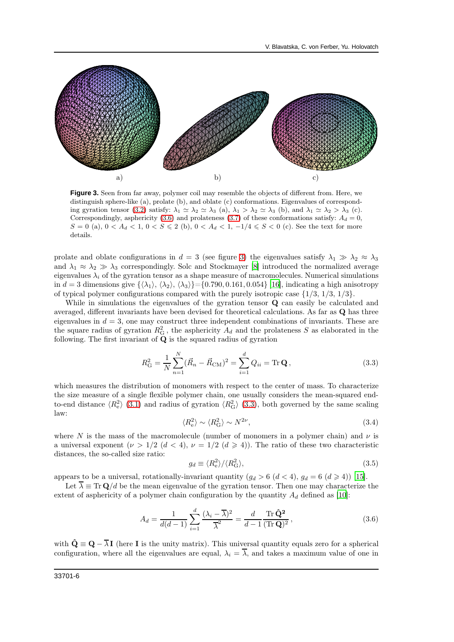

<span id="page-5-2"></span>**Figure 3.** Seen from far away, polymer coil may resemble the objects of different from. Here, we distinguish sphere-like (a), prolate (b), and oblate (c) conformations. Eigenvalues of correspond-ing gyration tensor [\(3.2\)](#page-4-1) satisfy:  $\lambda_1 \simeq \lambda_2 \simeq \lambda_3$  (a),  $\lambda_1 > \lambda_2 \simeq \lambda_3$  (b), and  $\lambda_1 \simeq \lambda_2 > \lambda_3$  (c). Correspondingly, asphericity [\(3.6\)](#page-5-1) and prolateness [\(3.7\)](#page-6-0) of these conformations satisfy:  $A_d = 0$ ,  $S = 0$  (a),  $0 < A_d < 1$ ,  $0 < S \le 2$  (b),  $0 < A_d < 1$ ,  $-1/4 \le S < 0$  (c). See the text for more details.

prolate and oblate configurations in  $d = 3$  (see figure [3\)](#page-5-2) the eigenvalues satisfy  $\lambda_1 \gg \lambda_2 \approx \lambda_3$ and  $\lambda_1 \approx \lambda_2 \gg \lambda_3$  correspondingly. Solc and Stockmayer [\[8](#page-17-7)] introduced the normalized average eigenvalues  $\lambda_i$  of the gyration tensor as a shape measure of macromolecules. Numerical simulations in  $d = 3$  dimensions give  $\{\langle \lambda_1 \rangle, \langle \lambda_2 \rangle, \langle \lambda_3 \rangle\} = \{0.790, 0.161, 0.054\}$  [\[16\]](#page-18-5), indicating a high anisotropy of typical polymer configurations compared with the purely isotropic case  $\{1/3, 1/3, 1/3\}$ .

While in simulations the eigenvalues of the gyration tensor **Q** can easily be calculated and averaged, different invariants have been devised for theoretical calculations. As far as Q has three eigenvalues in  $d = 3$ , one may construct three independent combinations of invariants. These are the square radius of gyration  $R_G^2$ , the asphericity  $A_d$  and the prolateness S as elaborated in the following. The first invariant of  $Q$  is the squared radius of gyration

<span id="page-5-3"></span>
$$
R_{\rm G}^2 = \frac{1}{N} \sum_{n=1}^{N} (\vec{R}_n - \vec{R}_{\rm CM})^2 = \sum_{i=1}^{d} Q_{ii} = \text{Tr} \mathbf{Q},\qquad(3.3)
$$

which measures the distribution of monomers with respect to the center of mass. To characterize the size measure of a single flexible polymer chain, one usually considers the mean-squared endto-end distance  $\langle R_e^2 \rangle$  [\(3.1\)](#page-4-2) and radius of gyration  $\langle R_G^2 \rangle$  [\(3.3\)](#page-5-3), both governed by the same scaling law:

<span id="page-5-0"></span>
$$
\langle R_{\rm e}^2 \rangle \sim \langle R_{\rm G}^2 \rangle \sim N^{2\nu},\tag{3.4}
$$

where N is the mass of the macromolecule (number of monomers in a polymer chain) and  $\nu$  is a universal exponent  $(\nu > 1/2 \ (d < 4), \nu = 1/2 \ (d \geq 4))$ . The ratio of these two characteristic distances, the so-called size ratio:

<span id="page-5-4"></span>
$$
g_d \equiv \langle R_e^2 \rangle / \langle R_G^2 \rangle, \tag{3.5}
$$

appears to be a universal, rotationally-invariant quantity  $(g_d > 6 \ (d < 4), g_d = 6 \ (d \geq 4))$  [\[15\]](#page-17-9).

Let  $\overline{\lambda} \equiv \text{Tr} \mathbf{Q}/d$  be the mean eigenvalue of the gyration tensor. Then one may characterize the extent of asphericity of a polymer chain configuration by the quantity  $A_d$  defined as [\[10\]](#page-17-10):

<span id="page-5-1"></span>
$$
A_d = \frac{1}{d(d-1)} \sum_{i=1}^d \frac{(\lambda_i - \overline{\lambda})^2}{\overline{\lambda}^2} = \frac{d}{d-1} \frac{\operatorname{Tr} \hat{\mathbf{Q}}^2}{(\operatorname{Tr} \mathbf{Q})^2},\tag{3.6}
$$

with  $\hat{\mathbf{Q}} \equiv \mathbf{Q} - \overline{\lambda} \mathbf{I}$  (here **I** is the unity matrix). This universal quantity equals zero for a spherical configuration, where all the eigenvalues are equal,  $\lambda_i = \overline{\lambda}$ , and takes a maximum value of one in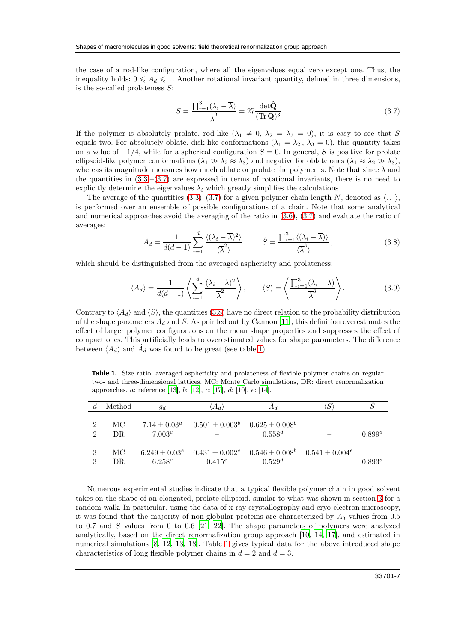the case of a rod-like configuration, where all the eigenvalues equal zero except one. Thus, the inequality holds:  $0 \leq A_d \leq 1$ . Another rotational invariant quantity, defined in three dimensions, is the so-called prolateness  $S$ :

<span id="page-6-0"></span>
$$
S = \frac{\prod_{i=1}^{3} (\lambda_i - \overline{\lambda})}{\overline{\lambda}^3} = 27 \frac{\det \hat{\mathbf{Q}}}{(\text{Tr } \mathbf{Q})^3} \,. \tag{3.7}
$$

If the polymer is absolutely prolate, rod-like  $(\lambda_1 \neq 0, \lambda_2 = \lambda_3 = 0)$ , it is easy to see that S equals two. For absolutely oblate, disk-like conformations  $(\lambda_1 = \lambda_2, \lambda_3 = 0)$ , this quantity takes on a value of  $-1/4$ , while for a spherical configuration  $S = 0$ . In general, S is positive for prolate ellipsoid-like polymer conformations  $(\lambda_1 \gg \lambda_2 \approx \lambda_3)$  and negative for oblate ones  $(\lambda_1 \approx \lambda_2 \gg \lambda_3)$ , whereas its magnitude measures how much oblate or prolate the polymer is. Note that since  $\overline{\lambda}$  and the quantities in  $(3.3)$ – $(3.7)$  are expressed in terms of rotational invariants, there is no need to explicitly determine the eigenvalues  $\lambda_i$  which greatly simplifies the calculations.

The average of the quantities  $(3.3)$ – $(3.7)$  for a given polymer chain length N, denoted as  $\langle \ldots \rangle$ , is performed over an ensemble of possible configurations of a chain. Note that some analytical and numerical approaches avoid the averaging of the ratio in [\(3.6\)](#page-5-1), [\(3.7\)](#page-6-0) and evaluate the ratio of averages:

<span id="page-6-1"></span>
$$
\hat{A}_d = \frac{1}{d(d-1)} \sum_{i=1}^d \frac{\langle (\lambda_i - \overline{\lambda})^2 \rangle}{\langle \overline{\lambda}^2 \rangle}, \qquad \hat{S} = \frac{\prod_{i=1}^3 \langle (\lambda_i - \overline{\lambda}) \rangle}{\langle \overline{\lambda}^3 \rangle},
$$
(3.8)

which should be distinguished from the averaged asphericity and prolateness:

$$
\langle A_d \rangle = \frac{1}{d(d-1)} \left\langle \sum_{i=1}^d \frac{(\lambda_i - \overline{\lambda})^2}{\overline{\lambda}^2} \right\rangle, \qquad \langle S \rangle = \left\langle \frac{\prod_{i=1}^3 (\lambda_i - \overline{\lambda})}{\overline{\lambda}^3} \right\rangle. \tag{3.9}
$$

Contrary to  $\langle A_d \rangle$  and  $\langle S \rangle$ , the quantities [\(3.8\)](#page-6-1) have no direct relation to the probability distribution of the shape parameters  $A_d$  and S. As pointed out by Cannon [\[11\]](#page-17-11), this definition overestimates the effect of larger polymer configurations on the mean shape properties and suppresses the effect of compact ones. This artificially leads to overestimated values for shape parameters. The difference between  $\langle A_d \rangle$  and  $\hat{A}_d$  was found to be great (see table [1\)](#page-6-2).

<span id="page-6-2"></span>Table 1. Size ratio, averaged asphericity and prolateness of flexible polymer chains on regular two- and three-dimensional lattices. MC: Monte Carlo simulations, DR: direct renormalization approaches. a: reference [\[13](#page-17-12)], b: [\[12\]](#page-17-13), c: [\[17](#page-18-6)], d: [\[10\]](#page-17-10), e: [\[14\]](#page-17-14).

|                                  | Method     | $g_d$                                   | $\langle A_d \rangle$ |                                                                                               |             |
|----------------------------------|------------|-----------------------------------------|-----------------------|-----------------------------------------------------------------------------------------------|-------------|
| 2<br>$\mathcal{D}_{\mathcal{L}}$ | MC.<br>DR. | $7.14 \pm 0.03^a$<br>7.003 <sup>c</sup> | $0.501\pm0.003^b$     | $0.625 \pm 0.008^b$<br>$0.558^d$                                                              | $0.899^d$   |
| 3                                | MC.<br>DR. | 6.258c                                  | $0.415^{e}$           | $6.249 \pm 0.03^e$ $0.431 \pm 0.002^e$ $0.546 \pm 0.008^b$ $0.541 \pm 0.004^e$<br>$0.529^{d}$ | $0.893^{d}$ |

Numerous experimental studies indicate that a typical flexible polymer chain in good solvent takes on the shape of an elongated, prolate ellipsoid, similar to what was shown in section [3](#page-4-3) for a random walk. In particular, using the data of x-ray crystallography and cryo-electron microscopy, it was found that the majority of non-globular proteins are characterized by  $A_3$  values from 0.5 to 0.7 and  $S$  values from 0 to 0.6 [\[21,](#page-18-7) [22](#page-18-0)]. The shape parameters of polymers were analyzed analytically, based on the direct renormalization group approach [\[10](#page-17-10), [14](#page-17-14), [17\]](#page-18-6), and estimated in numerical simulations [\[8,](#page-17-7) [12,](#page-17-13) [13](#page-17-12), [18](#page-18-8)]. Table [1](#page-6-2) gives typical data for the above introduced shape characteristics of long flexible polymer chains in  $d = 2$  and  $d = 3$ .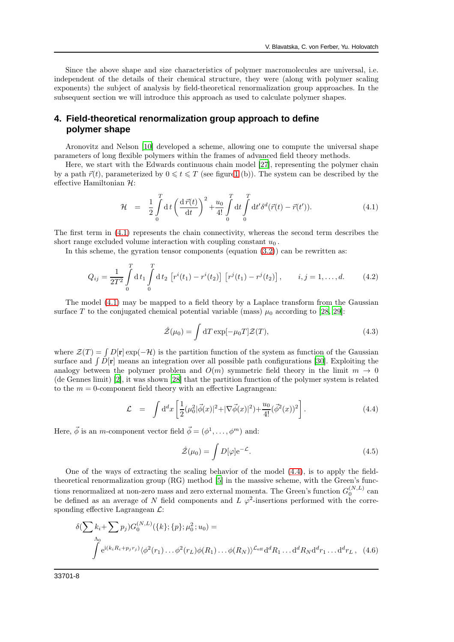Since the above shape and size characteristics of polymer macromolecules are universal, i.e. independent of the details of their chemical structure, they were (along with polymer scaling exponents) the subject of analysis by field-theoretical renormalization group approaches. In the subsequent section we will introduce this approach as used to calculate polymer shapes.

## **4. Field-theoretical renormalization group approach to define polymer shape**

Aronovitz and Nelson [\[10\]](#page-17-10) developed a scheme, allowing one to compute the universal shape parameters of long flexible polymers within the frames of advanced field theory methods.

Here, we start with the Edwards continuous chain model [\[27](#page-18-9)], representing the polymer chain by a path  $\vec{r}(t)$ , parameterized by  $0 \leq t \leq T$  (see figur[e1](#page-2-1) (b)). The system can be described by the effective Hamiltonian  $\mathcal{H}$ :

<span id="page-7-0"></span>
$$
\mathcal{H} = \frac{1}{2} \int_{0}^{T} dt \left( \frac{d \vec{r}(t)}{dt} \right)^{2} + \frac{u_{0}}{4!} \int_{0}^{T} dt \int_{0}^{T} dt' \delta^{d}(\vec{r}(t) - \vec{r}(t')). \qquad (4.1)
$$

The first term in [\(4.1\)](#page-7-0) represents the chain connectivity, whereas the second term describes the short range excluded volume interaction with coupling constant  $u_0$ .

In this scheme, the gyration tensor components (equation  $(3.2)$ ) can be rewritten as:

<span id="page-7-2"></span>
$$
Q_{ij} = \frac{1}{2T^2} \int_0^T dt_1 \int_0^T dt_2 \left[ r^i(t_1) - r^i(t_2) \right] \left[ r^j(t_1) - r^j(t_2) \right], \qquad i, j = 1, ..., d.
$$
 (4.2)

The model [\(4.1\)](#page-7-0) may be mapped to a field theory by a Laplace transform from the Gaussian surface T to the conjugated chemical potential variable (mass)  $\mu_0$  according to [\[28,](#page-18-10) [29\]](#page-18-11):

$$
\hat{\mathcal{Z}}(\mu_0) = \int dT \exp[-\mu_0 T] \mathcal{Z}(T), \qquad (4.3)
$$

where  $\mathcal{Z}(T) = \int D[\mathbf{r}] \exp(-\mathcal{H})$  is the partition function of the system as function of the Gaussian surface and  $\int D[\mathbf{r}]$  means an integration over all possible path configurations [\[30\]](#page-18-12). Exploiting the analogy between the polymer problem and  $O(m)$  symmetric field theory in the limit  $m \to 0$ (de Gennes limit) [\[2\]](#page-17-1), it was shown [\[28\]](#page-18-10) that the partition function of the polymer system is related to the  $m = 0$ -component field theory with an effective Lagrangean:

<span id="page-7-1"></span>
$$
\mathcal{L} = \int d^d x \left[ \frac{1}{2} (\mu_0^2 |\vec{\phi}(x)|^2 + |\nabla \vec{\phi}(x)|^2) + \frac{u_0}{4!} (\vec{\phi}^2(x))^2 \right]. \tag{4.4}
$$

Here,  $\vec{\phi}$  is an *m*-component vector field  $\vec{\phi} = (\phi^1, \dots, \phi^m)$  and:

$$
\hat{\mathcal{Z}}(\mu_0) = \int D[\varphi] e^{-\mathcal{L}}.
$$
\n(4.5)

One of the ways of extracting the scaling behavior of the model [\(4.4\)](#page-7-1), is to apply the fieldtheoretical renormalization group (RG) method [\[5\]](#page-17-4) in the massive scheme, with the Green's functions renormalized at non-zero mass and zero external momenta. The Green's function  $G_0^{(N,L)}$  can be defined as an average of N field components and L  $\varphi^2$ -insertions performed with the corresponding effective Lagrangean  $\mathcal{L}$ :

$$
\delta(\sum k_i + \sum p_j) G_0^{(N,L)}(\{k\}; \{p\}; \mu_0^2; u_0) =
$$
  

$$
\int e^{i(k_i R_i + p_j r_j)} \langle \phi^2(r_1) \dots \phi^2(r_L) \phi(R_1) \dots \phi(R_N) \rangle^{c_{\text{eff}}} d^d R_1 \dots d^d R_N d^d r_1 \dots d^d r_L, \quad (4.6)
$$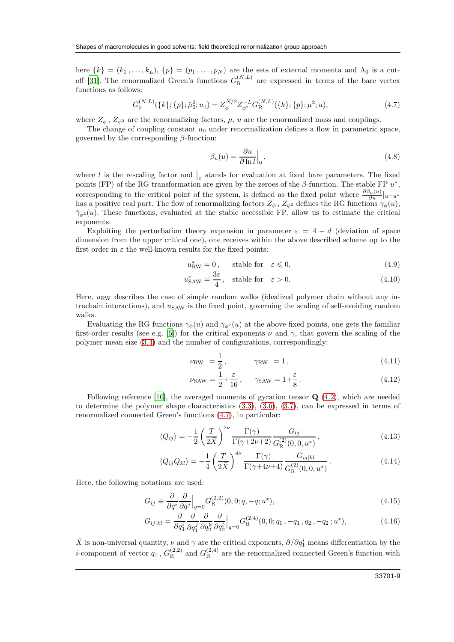here  $\{k\} = (k_1, \ldots, k_L)$ ,  $\{p\} = (p_1, \ldots, p_N)$  are the sets of external momenta and  $\Lambda_0$  is a cut-off [\[31\]](#page-18-13). The renormalized Green's functions  $G_{\rm R}^{(N,L)}$  $R^{(N,L)}$  are expressed in terms of the bare vertex functions as follows:

<span id="page-8-1"></span>
$$
G_0^{(N,L)}(\{k\};\{p\};\hat{\mu}_0^2;u_0) = Z_{\phi}^{N/2} Z_{\phi^2}^{-L} G_{\mathcal{R}}^{(N,L)}(\{k\};\{p\};\mu^2;u),\tag{4.7}
$$

where  $Z_{\phi}$ ,  $Z_{\phi^2}$  are the renormalizing factors,  $\mu$ ,  $u$  are the renormalized mass and couplings.

The change of coupling constant  $u_0$  under renormalization defines a flow in parametric space, governed by the corresponding  $\beta$ -function:

<span id="page-8-5"></span>
$$
\beta_u(u) = \frac{\partial u}{\partial \ln l} \Big|_0, \qquad (4.8)
$$

where l is the rescaling factor and  $\vert_0$  stands for evaluation at fixed bare parameters. The fixed points (FP) of the RG transformation are given by the zeroes of the  $\beta$ -function. The stable FP  $u^*$ , corresponding to the critical point of the system, is defined as the fixed point where  $\frac{\partial \beta_u(u)}{\partial u}|_{u=u^*}$ has a positive real part. The flow of renormalizing factors  $Z_{\phi}$ ,  $Z_{\phi^2}$  defines the RG functions  $\gamma_{\phi}(u)$ ,  $\bar{\gamma}_{\phi^2}(u)$ . These functions, evaluated at the stable accessible FP, allow us to estimate the critical exponents.

Exploiting the perturbation theory expansion in parameter  $\varepsilon = 4 - d$  (deviation of space dimension from the upper critical one), one receives within the above described scheme up to the first order in  $\varepsilon$  the well-known results for the fixed points:

<span id="page-8-3"></span>
$$
u_{\text{RW}}^* = 0, \quad \text{stable for} \quad \varepsilon \leq 0,\tag{4.9}
$$

$$
u_{\text{SAW}}^* = \frac{3\varepsilon}{4}, \quad \text{stable for} \quad \varepsilon > 0. \tag{4.10}
$$

Here,  $u_{\text{RW}}$  describes the case of simple random walks (idealized polymer chain without any intrachain interactions), and  $u<sub>SAW</sub>$  is the fixed point, governing the scaling of self-avoiding random walks.

Evaluating the RG functions  $\gamma_{\phi}(u)$  and  $\bar{\gamma}_{\phi^2}(u)$  at the above fixed points, one gets the familiar first-order results (see e.g. [\[5\]](#page-17-4)) for the critical exponents  $\nu$  and  $\gamma$ , that govern the scaling of the polymer mean size [\(3.4\)](#page-5-0) and the number of configurations, correspondingly:

<span id="page-8-0"></span>
$$
\nu_{\rm RW} = \frac{1}{2}, \qquad \gamma_{\rm RW} = 1, \qquad (4.11)
$$

$$
\nu_{\text{SAW}} = \frac{1}{2} + \frac{\varepsilon}{16}, \qquad \gamma_{\text{SAW}} = 1 + \frac{\varepsilon}{8}. \tag{4.12}
$$

Following reference [\[10\]](#page-17-10), the averaged moments of gyration tensor Q [\(4.2\)](#page-7-2), which are needed to determine the polymer shape characteristics [\(3.3\)](#page-5-3), [\(3.6\)](#page-5-1), [\(3.7\)](#page-6-0), can be expressed in terms of renormalized connected Green's functions [\(4.7\)](#page-8-1), in particular:

<span id="page-8-2"></span>
$$
\langle Q_{ij} \rangle = -\frac{1}{2} \left( \frac{T}{2\bar{X}} \right)^{2\nu} \frac{\Gamma(\gamma)}{\Gamma(\gamma + 2\nu + 2)} \frac{G_{ij}}{G_{\rm R}^{(2)}(0, 0, u^*)}, \tag{4.13}
$$

$$
\langle Q_{ij} Q_{kl} \rangle = -\frac{1}{4} \left( \frac{T}{2\bar{X}} \right)^{4\nu} \frac{\Gamma(\gamma)}{\Gamma(\gamma + 4\nu + 4)} \frac{G_{ij|kl}}{G_{\rm R}^{(2)}(0, 0, u^*)} . \tag{4.14}
$$

Here, the following notations are used:

<span id="page-8-4"></span>
$$
G_{ij} \equiv \frac{\partial}{\partial q^i} \frac{\partial}{\partial q^j} \Big|_{q=0} G_{\mathcal{R}}^{(2,2)}(0,0;q,-q;u^*), \tag{4.15}
$$

$$
G_{ij|kl} = \frac{\partial}{\partial q_1^i} \frac{\partial}{\partial q_1^j} \frac{\partial}{\partial q_2^k} \frac{\partial}{\partial q_2^l} \Big|_{q=0} G_{\mathcal{R}}^{(2,4)}(0,0;q_1,-q_1,q_2,-q_2;u^*), \tag{4.16}
$$

 $\bar{X}$  is non-universal quantity,  $\nu$  and  $\gamma$  are the critical exponents,  $\partial/\partial q_1^i$  means differentiation by the *i*-component of vector  $q_1$ ,  $G_R^{(2,2)}$  and  $G_R^{(2,4)}$  are the renormalized connected Green's function with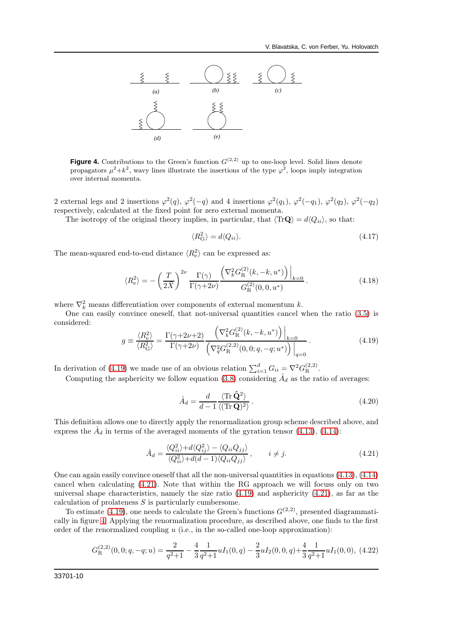

<span id="page-9-2"></span>**Figure 4.** Contributions to the Green's function  $G^{(2,2)}$  up to one-loop level. Solid lines denote propagators  $\mu^2 + k^2$ , wavy lines illustrate the insertions of the type  $\varphi^2$ , loops imply integration over internal momenta.

2 external legs and 2 insertions  $\varphi^2(q)$ ,  $\varphi^2(-q)$  and 4 insertions  $\varphi^2(q_1)$ ,  $\varphi^2(-q_1)$ ,  $\varphi^2(q_2)$ ,  $\varphi^2(-q_2)$ respectively, calculated at the fixed point for zero external momenta.

The isotropy of the original theory implies, in particular, that  $\langle \text{Tr}\mathbf{Q} \rangle = d\langle Q_{ii} \rangle$ , so that:

$$
\langle R_{\rm G}^2 \rangle = d \langle Q_{ii} \rangle. \tag{4.17}
$$

The mean-squared end-to-end distance  $\langle R_{\rm e}^2 \rangle$  can be expressed as:

$$
\langle R_{\rm e}^2 \rangle = -\left(\frac{T}{2\bar{X}}\right)^{2\nu} \frac{\Gamma(\gamma)}{\Gamma(\gamma + 2\nu)} \frac{\left(\nabla_k^2 G_{\rm R}^{(2)}(k, -k, u^*)\right)\Big|_{k=0}}{G_{\rm R}^{(2)}(0, 0, u^*)} \,. \tag{4.18}
$$

where  $\nabla_k^2$  means differentiation over components of external momentum k.

One can easily convince oneself, that not-universal quantities cancel when the ratio [\(3.5\)](#page-5-4) is considered:

<span id="page-9-0"></span>
$$
g \equiv \frac{\langle R_{\rm e}^{2} \rangle}{\langle R_{\rm G}^{2} \rangle} = \frac{\Gamma(\gamma + 2\nu + 2)}{\Gamma(\gamma + 2\nu)} \frac{\left(\nabla_{k}^{2} G_{\rm R}^{(2)}(k, -k, u^{*})\right)\Big|_{k=0}}{\left(\nabla_{q}^{2} G_{\rm R}^{(2,2)}(0, 0; q, -q; u^{*})\right)\Big|_{q=0}}.
$$
\n(4.19)

In derivation of [\(4.19\)](#page-9-0) we made use of an obvious relation  $\sum_{i=1}^{d} G_{ii} = \nabla^2 G_{\mathcal{R}}^{(2,2)}$ .

Computing the asphericity we follow equation [\(3.8\)](#page-6-1) considering  $\hat{A}_d$  as the ratio of averages:

$$
\hat{A}_d = \frac{d}{d-1} \frac{\langle \text{Tr} \,\hat{\mathbf{Q}}^2 \rangle}{\langle (\text{Tr} \,\mathbf{Q})^2 \rangle} \,. \tag{4.20}
$$

This definition allows one to directly apply the renormalization group scheme described above, and express the  $\hat{A}_d$  in terms of the averaged moments of the gyration tensor [\(4.13\)](#page-8-2), [\(4.14\)](#page-8-2):

<span id="page-9-1"></span>
$$
\hat{A}_d = \frac{\langle Q_{ii}^2 \rangle + d \langle Q_{ij}^2 \rangle - \langle Q_{ii} Q_{jj} \rangle}{\langle Q_{ii}^2 \rangle + d(d-1) \langle Q_{ii} Q_{jj} \rangle}, \qquad i \neq j.
$$
\n(4.21)

One can again easily convince oneself that all the non-universal quantities in equations  $(4.13)$ ,  $(4.14)$ cancel when calculating [\(4.21\)](#page-9-1). Note that within the RG approach we will focuss only on two universal shape characteristics, namely the size ratio  $(4.19)$  and asphericity  $(4.21)$ , as far as the calculation of prolateness S is particularly cumbersome.

To estimate [\(4.19\)](#page-9-0), one needs to calculate the Green's functions  $G^{(2,2)}$ , presented diagrammatically in figure [4.](#page-9-2) Applying the renormalization procedure, as described above, one finds to the first order of the renormalized coupling  $u$  (i.e., in the so-called one-loop approximation):

$$
G_{\mathcal{R}}^{(2,2)}(0,0;q,-q;u) = \frac{2}{q^2+1} - \frac{4}{3} \frac{1}{q^2+1} u I_1(0,q) - \frac{2}{3} u I_2(0,0,q) + \frac{4}{3} \frac{1}{q^2+1} u I_1(0,0),
$$
 (4.22)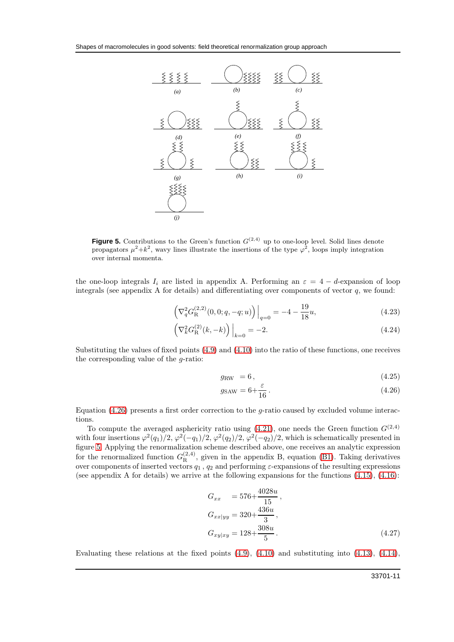

<span id="page-10-1"></span>**Figure 5.** Contributions to the Green's function  $G^{(2,4)}$  up to one-loop level. Solid lines denote propagators  $\mu^2 + k^2$ , wavy lines illustrate the insertions of the type  $\varphi^2$ , loops imply integration over internal momenta.

the one-loop integrals  $I_i$  are listed in appendix A. Performing an  $\varepsilon = 4 - d$ -expansion of loop integrals (see appendix A for details) and differentiating over components of vector  $q$ , we found:

$$
\left(\nabla_q^2 G_{\mathcal{R}}^{(2,2)}(0,0;q,-q;u)\right)\Big|_{q=0} = -4 - \frac{19}{18}u,\tag{4.23}
$$

$$
\left(\nabla_k^2 G_{\mathcal{R}}^{(2)}(k, -k)\right)\Big|_{k=0} = -2.\tag{4.24}
$$

Substituting the values of fixed points [\(4.9\)](#page-8-3) and [\(4.10\)](#page-8-3) into the ratio of these functions, one receives the corresponding value of the  $q$ -ratio:

<span id="page-10-0"></span>
$$
g_{\rm RW} = 6 \,, \tag{4.25}
$$

$$
g_{\text{SAW}} = 6 + \frac{\varepsilon}{16} \,. \tag{4.26}
$$

Equation  $(4.26)$  presents a first order correction to the g-ratio caused by excluded volume interactions.

To compute the averaged asphericity ratio using [\(4.21\)](#page-9-1), one needs the Green function  $G^{(2,4)}$ with four insertions  $\varphi^2(q_1)/2$ ,  $\varphi^2(-q_1)/2$ ,  $\varphi^2(q_2)/2$ ,  $\varphi^2(-q_2)/2$ , which is schematically presented in figure [5.](#page-10-1) Applying the renormalization scheme described above, one receives an analytic expression for the renormalized function  $G_{\rm R}^{(2,4)}$ , given in the appendix B, equation [\(B1\)](#page-16-0). Taking derivatives over components of inserted vectors  $q_1$ ,  $q_2$  and performing  $\varepsilon$ -expansions of the resulting expressions (see appendix A for details) we arrive at the following expansions for the functions [\(4.15\)](#page-8-4), [\(4.16\)](#page-8-4):

$$
G_{xx} = 576 + \frac{4028u}{15},
$$
  
\n
$$
G_{xx|yy} = 320 + \frac{436u}{3},
$$
  
\n
$$
G_{xy|xy} = 128 + \frac{308u}{5}.
$$
\n(4.27)

Evaluating these relations at the fixed points  $(4.9)$ ,  $(4.10)$  and substituting into  $(4.13)$ ,  $(4.14)$ ,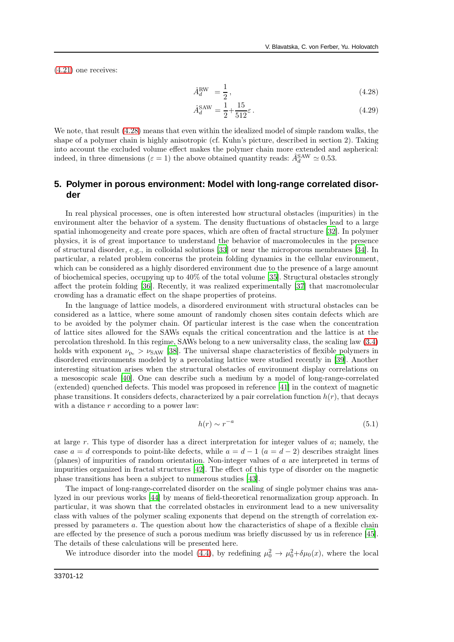[\(4.21\)](#page-9-1) one receives:

<span id="page-11-0"></span>
$$
\hat{A}_d^{\text{RW}} = \frac{1}{2},\tag{4.28}
$$

$$
\hat{A}_d^{\text{SAW}} = \frac{1}{2} + \frac{15}{512}\varepsilon.
$$
\n(4.29)

We note, that result  $(4.28)$  means that even within the idealized model of simple random walks, the shape of a polymer chain is highly anisotropic (cf. Kuhn's picture, described in section 2). Taking into account the excluded volume effect makes the polymer chain more extended and aspherical: indeed, in three dimensions ( $\varepsilon = 1$ ) the above obtained quantity reads:  $\hat{A}_d^{\text{SAW}} \simeq 0.53$ .

## **5. Polymer in porous environment: Model with long-range correlated disorder**

In real physical processes, one is often interested how structural obstacles (impurities) in the environment alter the behavior of a system. The density fluctuations of obstacles lead to a large spatial inhomogeneity and create pore spaces, which are often of fractal structure [\[32\]](#page-18-14). In polymer physics, it is of great importance to understand the behavior of macromolecules in the presence of structural disorder, e.g., in colloidal solutions [\[33](#page-18-15)] or near the microporous membranes [\[34\]](#page-18-16). In particular, a related problem concerns the protein folding dynamics in the cellular environment, which can be considered as a highly disordered environment due to the presence of a large amount of biochemical species, occupying up to 40% of the total volume [\[35](#page-18-17)]. Structural obstacles strongly affect the protein folding [\[36](#page-18-18)]. Recently, it was realized experimentally [\[37\]](#page-18-19) that macromolecular crowding has a dramatic effect on the shape properties of proteins.

In the language of lattice models, a disordered environment with structural obstacles can be considered as a lattice, where some amount of randomly chosen sites contain defects which are to be avoided by the polymer chain. Of particular interest is the case when the concentration of lattice sites allowed for the SAWs equals the critical concentration and the lattice is at the percolation threshold. In this regime, SAWs belong to a new universality class, the scaling law [\(3.4\)](#page-5-0) holds with exponent  $\nu_{\text{p}_c} > \nu_{SAW}$  [\[38\]](#page-18-20). The universal shape characteristics of flexible polymers in disordered environments modeled by a percolating lattice were studied recently in [\[39\]](#page-18-21). Another interesting situation arises when the structural obstacles of environment display correlations on a mesoscopic scale [\[40\]](#page-18-22). One can describe such a medium by a model of long-range-correlated (extended) quenched defects. This model was proposed in reference [\[41](#page-18-23)] in the context of magnetic phase transitions. It considers defects, characterized by a pair correlation function  $h(r)$ , that decays with a distance r according to a power law:

<span id="page-11-1"></span>
$$
h(r) \sim r^{-a} \tag{5.1}
$$

at large r. This type of disorder has a direct interpretation for integer values of a; namely, the case  $a = d$  corresponds to point-like defects, while  $a = d - 1$   $(a = d - 2)$  describes straight lines (planes) of impurities of random orientation. Non-integer values of a are interpreted in terms of impurities organized in fractal structures [\[42\]](#page-18-24). The effect of this type of disorder on the magnetic phase transitions has been a subject to numerous studies [\[43\]](#page-19-1).

The impact of long-range-correlated disorder on the scaling of single polymer chains was analyzed in our previous works [\[44\]](#page-19-2) by means of field-theoretical renormalization group approach. In particular, it was shown that the correlated obstacles in environment lead to a new universality class with values of the polymer scaling exponents that depend on the strength of correlation expressed by parameters a. The question about how the characteristics of shape of a flexible chain are effected by the presence of such a porous medium was briefly discussed by us in reference [\[45\]](#page-19-3). The details of these calculations will be presented here.

We introduce disorder into the model [\(4.4\)](#page-7-1), by redefining  $\mu_0^2 \to \mu_0^2 + \delta \mu_0(x)$ , where the local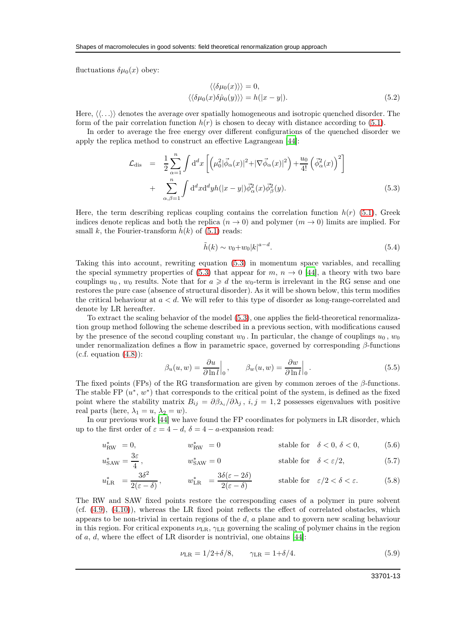fluctuations  $\delta \mu_0(x)$  obey:

$$
\langle \langle \delta \mu_0(x) \rangle \rangle = 0,
$$
  

$$
\langle \langle \delta \mu_0(x) \delta \hat{\mu}_0(y) \rangle \rangle = h(|x - y|).
$$
 (5.2)

Here,  $\langle \langle \ldots \rangle \rangle$  denotes the average over spatially homogeneous and isotropic quenched disorder. The form of the pair correlation function  $h(r)$  is chosen to decay with distance according to [\(5.1\)](#page-11-1).

In order to average the free energy over different configurations of the quenched disorder we apply the replica method to construct an effective Lagrangean [\[44](#page-19-2)]:

<span id="page-12-0"></span>
$$
\mathcal{L}_{\text{dis}} = \frac{1}{2} \sum_{\alpha=1}^{n} \int d^d x \left[ \left( \mu_0^2 |\vec{\phi}_{\alpha}(x)|^2 + |\nabla \vec{\phi}_{\alpha}(x)|^2 \right) + \frac{u_0}{4!} \left( \vec{\phi}_{\alpha}^2(x) \right)^2 \right] + \sum_{\alpha, \beta=1}^{n} \int d^d x d^d y h(|x-y|) \vec{\phi}_{\alpha}^2(x) \vec{\phi}_{\beta}^2(y). \tag{5.3}
$$

Here, the term describing replicas coupling contains the correlation function  $h(r)$  [\(5.1\)](#page-11-1), Greek indices denote replicas and both the replica  $(n \to 0)$  and polymer  $(m \to 0)$  limits are implied. For small k, the Fourier-transform  $\tilde{h}(k)$  of [\(5.1\)](#page-11-1) reads:

$$
\tilde{h}(k) \sim v_0 + w_0 |k|^{a-d}.\tag{5.4}
$$

Taking this into account, rewriting equation [\(5.3\)](#page-12-0) in momentum space variables, and recalling the special symmetry properties of [\(5.3\)](#page-12-0) that appear for  $m, n \to 0$  [\[44\]](#page-19-2), a theory with two bare couplings  $u_0$ ,  $w_0$  results. Note that for  $a \geq d$  the  $w_0$ -term is irrelevant in the RG sense and one restores the pure case (absence of structural disorder). As it will be shown below, this term modifies the critical behaviour at  $a < d$ . We will refer to this type of disorder as long-range-correlated and denote by LR hereafter.

To extract the scaling behavior of the model [\(5.3\)](#page-12-0), one applies the field-theoretical renormalization group method following the scheme described in a previous section, with modifications caused by the presence of the second coupling constant  $w_0$ . In particular, the change of couplings  $u_0$ ,  $w_0$ under renormalization defines a flow in parametric space, governed by corresponding  $\beta$ -functions  $(c.f. equation (4.8))$  $(c.f. equation (4.8))$  $(c.f. equation (4.8))$ :

$$
\beta_u(u, w) = \frac{\partial u}{\partial \ln l} \Big|_0, \qquad \beta_w(u, w) = \frac{\partial w}{\partial \ln l} \Big|_0.
$$
\n(5.5)

The fixed points (FPs) of the RG transformation are given by common zeroes of the  $\beta$ -functions. The stable FP  $(u^*, w^*)$  that corresponds to the critical point of the system, is defined as the fixed point where the stability matrix  $B_{ij} = \partial \beta_{\lambda_i}/\partial \lambda_j$ ,  $i, j = 1, 2$  possesses eigenvalues with positive real parts (here,  $\lambda_1 = u$ ,  $\lambda_2 = w$ ).

In our previous work [\[44](#page-19-2)] we have found the FP coordinates for polymers in LR disorder, which up to the first order of  $\varepsilon = 4 - d$ ,  $\delta = 4 - a$ -expansion read:

$$
u_{\text{RW}}^* = 0, \qquad \qquad w_{\text{RW}}^* = 0 \qquad \qquad \text{stable for} \quad \delta < 0, \delta < 0,\tag{5.6}
$$

$$
u_{\text{SAW}}^* = \frac{3\varepsilon}{4}, \qquad \qquad u_{\text{SAW}}^* = 0 \qquad \qquad \text{stable for} \quad \delta < \varepsilon/2,\tag{5.7}
$$

$$
u_{\text{LR}}^* = \frac{3\delta^2}{2(\varepsilon - \delta)}, \qquad \quad w_{\text{LR}}^* = \frac{3\delta(\varepsilon - 2\delta)}{2(\varepsilon - \delta)} \qquad \qquad \text{stable for} \quad \varepsilon/2 < \delta < \varepsilon. \tag{5.8}
$$

The RW and SAW fixed points restore the corresponding cases of a polymer in pure solvent (cf.  $(4.9)$ ,  $(4.10)$ ), whereas the LR fixed point reflects the effect of correlated obstacles, which appears to be non-trivial in certain regions of the  $d$ ,  $a$  plane and to govern new scaling behaviour in this region. For critical exponents  $\nu_{LR}$ ,  $\gamma_{LR}$  governing the scaling of polymer chains in the region of a, d, where the effect of LR disorder is nontrivial, one obtains [\[44](#page-19-2)]:

<span id="page-12-1"></span>
$$
\nu_{LR} = 1/2 + \delta/8, \qquad \gamma_{LR} = 1 + \delta/4. \tag{5.9}
$$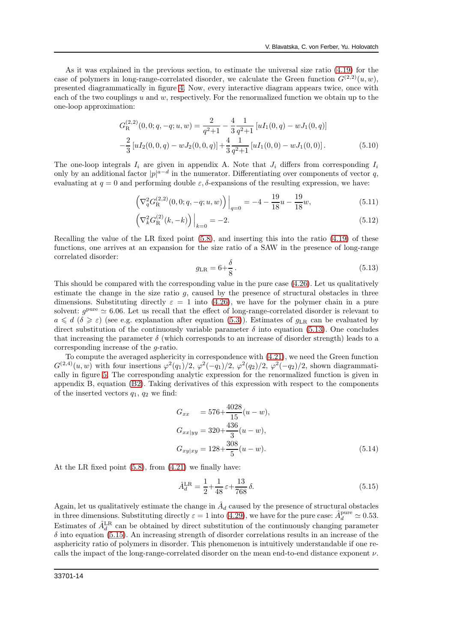As it was explained in the previous section, to estimate the universal size ratio [\(4.19\)](#page-9-0) for the case of polymers in long-range-correlated disorder, we calculate the Green function  $G^{(2,2)}(u, w)$ , presented diagrammatically in figure [4.](#page-9-2) Now, every interactive diagram appears twice, once with each of the two couplings  $u$  and  $w$ , respectively. For the renormalized function we obtain up to the one-loop approximation:

<span id="page-13-2"></span>
$$
G_{\mathcal{R}}^{(2,2)}(0,0;q,-q;u,w) = \frac{2}{q^2+1} - \frac{4}{3} \frac{1}{q^2+1} \left[ uI_1(0,q) - wJ_1(0,q) \right] -\frac{2}{3} \left[ uI_2(0,0,q) - wJ_2(0,0,q) \right] + \frac{4}{3} \frac{1}{q^2+1} \left[ uI_1(0,0) - wJ_1(0,0) \right].
$$
 (5.10)

The one-loop integrals  $I_i$  are given in appendix A. Note that  $J_i$  differs from corresponding  $I_i$ only by an additional factor  $|p|^{a-d}$  in the numerator. Differentiating over components of vector q, evaluating at  $q = 0$  and performing double  $\varepsilon$ ,  $\delta$ -expansions of the resulting expression, we have:

$$
\left(\nabla_q^2 G_{\mathcal{R}}^{(2,2)}(0,0;q,-q;u,w)\right)\Big|_{q=0} = -4 - \frac{19}{18}u - \frac{19}{18}w,\tag{5.11}
$$

$$
\left(\nabla_k^2 G^{(2)}_{\mathcal{R}}(k, -k)\right)\Big|_{k=0} = -2. \tag{5.12}
$$

Recalling the value of the LR fixed point [\(5.8\)](#page-12-1), and inserting this into the ratio [\(4.19\)](#page-9-0) of these functions, one arrives at an expansion for the size ratio of a SAW in the presence of long-range correlated disorder:

<span id="page-13-0"></span>
$$
g_{\rm LR} = 6 + \frac{\delta}{8} \,. \tag{5.13}
$$

This should be compared with the corresponding value in the pure case [\(4.26\)](#page-10-0). Let us qualitatively estimate the change in the size ratio  $g$ , caused by the presence of structural obstacles in three dimensions. Substituting directly  $\varepsilon = 1$  into [\(4.26\)](#page-10-0), we have for the polymer chain in a pure solvent:  $g<sup>pure</sup> \simeq 6.06$ . Let us recall that the effect of long-range-correlated disorder is relevant to  $a \leq d$  ( $\delta \geq \varepsilon$ ) (see e.g. explanation after equation [\(5.3\)](#page-12-0)). Estimates of  $g_{LR}$  can be evaluated by direct substitution of the continuously variable parameter  $\delta$  into equation [\(5.13\)](#page-13-0). One concludes that increasing the parameter  $\delta$  (which corresponds to an increase of disorder strength) leads to a corresponding increase of the g-ratio.

To compute the averaged asphericity in correspondence with [\(4.21\)](#page-9-1), we need the Green function  $G^{(2,4)}(u,w)$  with four insertions  $\varphi^2(q_1)/2$ ,  $\varphi^2(-q_1)/2$ ,  $\varphi^2(q_2)/2$ ,  $\varphi^2(-q_2)/2$ , shown diagrammatically in figure [5.](#page-10-1) The corresponding analytic expression for the renormalized function is given in appendix B, equation (B2). Taking derivatives of this expression with respect to the components of the inserted vectors  $q_1$ ,  $q_2$  we find:

$$
G_{xx} = 576 + \frac{4028}{15}(u - w),
$$
  
\n
$$
G_{xx|yy} = 320 + \frac{436}{3}(u - w),
$$
  
\n
$$
G_{xy|xy} = 128 + \frac{308}{5}(u - w).
$$
\n(5.14)

At the LR fixed point [\(5.8\)](#page-12-1), from [\(4.21\)](#page-9-1) we finally have:

<span id="page-13-1"></span>
$$
\hat{A}_d^{\text{LR}} = \frac{1}{2} + \frac{1}{48} \varepsilon + \frac{13}{768} \delta. \tag{5.15}
$$

Again, let us qualitatively estimate the change in  $\hat{A}_d$  caused by the presence of structural obstacles in three dimensions. Substituting directly  $\varepsilon = 1$  into [\(4.29\)](#page-11-0), we have for the pure case:  $\hat{A}_d^{\text{pure}} \simeq 0.53$ . Estimates of  $\hat{A}_d^{\text{LR}}$  can be obtained by direct substitution of the continuously changing parameter  $\delta$  into equation [\(5.15\)](#page-13-1). An increasing strength of disorder correlations results in an increase of the asphericity ratio of polymers in disorder. This phenomenon is intuitively understandable if one recalls the impact of the long-range-correlated disorder on the mean end-to-end distance exponent  $\nu$ .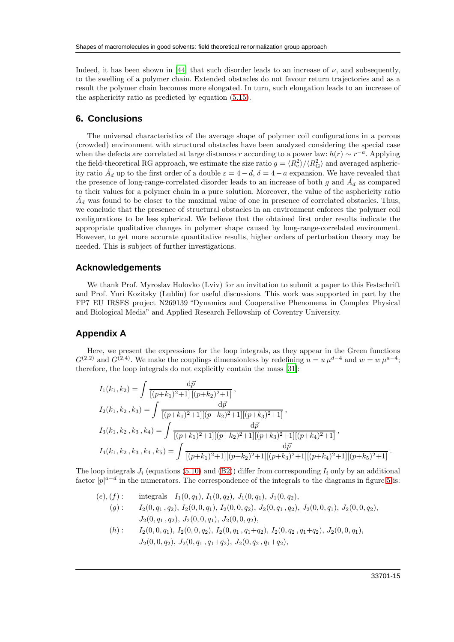Indeed, it has been shown in [\[44\]](#page-19-2) that such disorder leads to an increase of  $\nu$ , and subsequently, to the swelling of a polymer chain. Extended obstacles do not favour return trajectories and as a result the polymer chain becomes more elongated. In turn, such elongation leads to an increase of the asphericity ratio as predicted by equation [\(5.15\)](#page-13-1).

## **6. Conclusions**

The universal characteristics of the average shape of polymer coil configurations in a porous (crowded) environment with structural obstacles have been analyzed considering the special case when the defects are correlated at large distances r according to a power law:  $h(r) \sim r^{-a}$ . Applying the field-theoretical RG approach, we estimate the size ratio  $g = \langle R_e^2 \rangle / \langle R_G^2 \rangle$  and averaged asphericity ratio  $\hat{A}_d$  up to the first order of a double  $\varepsilon = 4 - d$ ,  $\delta = 4 - a$  expansion. We have revealed that the presence of long-range-correlated disorder leads to an increase of both g and  $\hat{A}_d$  as compared to their values for a polymer chain in a pure solution. Moreover, the value of the asphericity ratio  $\hat{A}_d$  was found to be closer to the maximal value of one in presence of correlated obstacles. Thus, we conclude that the presence of structural obstacles in an environment enforces the polymer coil configurations to be less spherical. We believe that the obtained first order results indicate the appropriate qualitative changes in polymer shape caused by long-range-correlated environment. However, to get more accurate quantitative results, higher orders of perturbation theory may be needed. This is subject of further investigations.

#### **Acknowledgements**

We thank Prof. Myroslav Holovko (Lviv) for an invitation to submit a paper to this Festschrift and Prof. Yuri Kozitsky (Lublin) for useful discussions. This work was supported in part by the FP7 EU IRSES project N269139 "Dynamics and Cooperative Phenomena in Complex Physical and Biological Media" and Applied Research Fellowship of Coventry University.

#### **Appendix A**

Here, we present the expressions for the loop integrals, as they appear in the Green functions  $G^{(2,2)}$  and  $G^{(2,4)}$ . We make the couplings dimensionless by redefining  $u = u \mu^{d-4}$  and  $w = w \mu^{a-4}$ ; therefore, the loop integrals do not explicitly contain the mass [\[31](#page-18-13)]:

$$
I_1(k_1, k_2) = \int \frac{\mathrm{d}\vec{p}}{[(p+k_1)^2+1] [(p+k_2)^2+1]},
$$
  
\n
$$
I_2(k_1, k_2, k_3) = \int \frac{\mathrm{d}\vec{p}}{[(p+k_1)^2+1] [(p+k_2)^2+1] [(p+k_3)^2+1]},
$$
  
\n
$$
I_3(k_1, k_2, k_3, k_4) = \int \frac{\mathrm{d}\vec{p}}{[(p+k_1)^2+1] [(p+k_2)^2+1] [(p+k_3)^2+1] [(p+k_4)^2+1]},
$$
  
\n
$$
I_4(k_1, k_2, k_3, k_4, k_5) = \int \frac{\mathrm{d}\vec{p}}{[(p+k_1)^2+1] [(p+k_2)^2+1] [(p+k_3)^2+1] [(p+k_4)^2+1] [(p+k_5)^2+1]}.
$$

The loop integrals  $J_i$  (equations [\(5.10\)](#page-13-2) and (B2)) differ from corresponding  $I_i$  only by an additional factor  $|p|^{a-d}$  in the numerators. The correspondence of the integrals to the diagrams in figure [5](#page-10-1) is:

 $(e), (f)$ : integrals  $I_1(0, q_1), I_1(0, q_2), J_1(0, q_1), J_1(0, q_2),$  $(g): I_2(0, q_1, q_2), I_2(0, 0, q_1), I_2(0, 0, q_2), J_2(0, q_1, q_2), J_2(0, 0, q_1), J_2(0, 0, q_2),$  $J_2(0, q_1, q_2), J_2(0, 0, q_1), J_2(0, 0, q_2),$  $(h): I_2(0, 0, q_1), I_2(0, 0, q_2), I_2(0, q_1, q_1+q_2), I_2(0, q_2, q_1+q_2), J_2(0, 0, q_1),$  $J_2(0, 0, q_2), J_2(0, q_1, q_1+q_2), J_2(0, q_2, q_1+q_2),$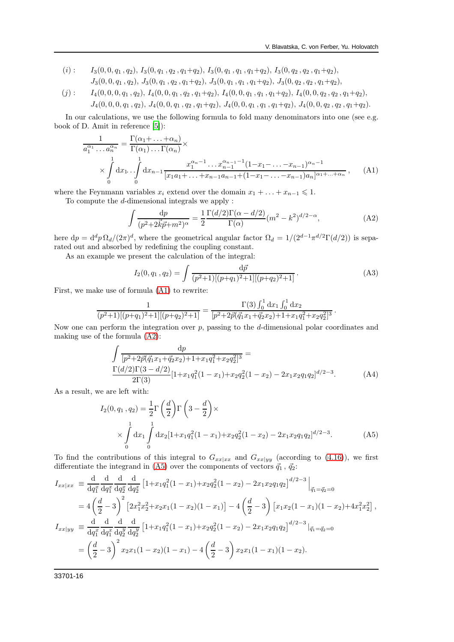- $(i)$  :  $I_3(0, 0, q_1, q_2), I_3(0, q_1, q_2, q_1+q_2), I_3(0, q_1, q_1, q_1+q_2), I_3(0, q_2, q_2, q_1+q_2),$  $J_3(0, 0, q_1, q_2), J_3(0, q_1, q_2, q_1+q_2), J_3(0, q_1, q_1, q_1+q_2), J_3(0, q_2, q_2, q_1+q_2),$
- $(j): I_4(0, 0, 0, q_1, q_2), I_4(0, 0, q_1, q_2, q_1+q_2), I_4(0, 0, q_1, q_1, q_1+q_2), I_4(0, 0, q_2, q_2, q_1+q_2),$  $J_4(0,0,0,q_1,q_2), J_4(0,0,q_1,q_2,q_1+q_2), J_4(0,0,q_1,q_1+q_2), J_4(0,0,q_2,q_2,q_1+q_2).$

In our calculations, we use the following formula to fold many denominators into one (see e.g. book of D. Amit in reference [\[5](#page-17-4)]):

$$
\frac{1}{a_1^{\alpha_1} \dots a_n^{\alpha_n}} = \frac{\Gamma(\alpha_1 + \dots + \alpha_n)}{\Gamma(\alpha_1) \dots \Gamma(\alpha_n)} \times \left[ \frac{1}{\alpha_1^{\alpha_1} \dots \alpha_{n-1}^{\alpha_{n-1} - 1} (1 - x_1 - \dots - x_{n-1})^{\alpha_n - 1}} \right]
$$
\n
$$
\times \int_0^1 dx_1 \dots \int_0^1 dx_{n-1} \frac{x_1^{\alpha_n - 1} \dots x_{n-1}^{\alpha_{n-1} - 1} (1 - x_1 - \dots - x_{n-1})^{\alpha_n - 1}}{[x_1 a_1 + \dots + x_{n-1} a_{n-1} + (1 - x_1 - \dots - x_{n-1})^{\alpha_n}]^{\alpha_1 + \dots + \alpha_n}}, \quad \text{(A1)}
$$

where the Feynmann variables  $x_i$  extend over the domain  $x_1 + \ldots + x_{n-1} \leq 1$ . To compute the d-dimensional integrals we apply :

$$
\int \frac{\mathrm{d}p}{(p^2 + 2\vec{k}\vec{p} + m^2)^\alpha} = \frac{1}{2} \frac{\Gamma(d/2)\Gamma(\alpha - d/2)}{\Gamma(\alpha)} (m^2 - k^2)^{d/2 - \alpha},\tag{A2}
$$

here  $dp = d^d p \Omega_d/(2\pi)^d$ , where the geometrical angular factor  $\Omega_d = 1/(2^{d-1}\pi^{d/2}\Gamma(d/2))$  is separated out and absorbed by redefining the coupling constant.

As an example we present the calculation of the integral:

$$
I_2(0, q_1, q_2) = \int \frac{\mathrm{d}\vec{p}}{(p^2 + 1)[(p+q_1)^2 + 1][(p+q_2)^2 + 1]}.
$$
 (A3)

First, we make use of formula [\(A1\)](#page-16-0) to rewrite:

$$
\frac{1}{(p^2+1)[(p+q_1)^2+1][(p+q_2)^2+1]} = \frac{\Gamma(3)\int_0^1 dx_1 \int_0^1 dx_2}{[p^2+2\vec{p}(\vec{q}_1x_1+\vec{q}_2x_2)+1+x_1q_1^2+x_2q_2^2]^3}.
$$

Now one can perform the integration over  $p$ , passing to the  $d$ -dimensional polar coordinates and making use of the formula [\(A2\)](#page-17-15):

$$
\int \frac{dp}{[p^2 + 2\vec{p}(\vec{q}_1 x_1 + \vec{q}_2 x_2) + 1 + x_1 q_1^2 + x_2 q_2^2]^3} =
$$
\n
$$
\frac{\Gamma(d/2)\Gamma(3 - d/2)}{2\Gamma(3)} [1 + x_1 q_1^2 (1 - x_1) + x_2 q_2^2 (1 - x_2) - 2x_1 x_2 q_1 q_2]^{d/2 - 3}.
$$
\n(A4)

As a result, we are left with:

<span id="page-15-0"></span>
$$
I_2(0, q_1, q_2) = \frac{1}{2} \Gamma\left(\frac{d}{2}\right) \Gamma\left(3 - \frac{d}{2}\right) \times \times \int\limits_0^1 dx_1 \int\limits_0^1 dx_2 \left[1 + x_1 q_1^2 (1 - x_1) + x_2 q_2^2 (1 - x_2) - 2 x_1 x_2 q_1 q_2\right]^{d/2 - 3}.
$$
 (A5)

To find the contributions of this integral to  $G_{xx|xx}$  and  $G_{xx|yy}$  (according to [\(4.16\)](#page-8-4)), we first differentiate the integrand in [\(A5\)](#page-15-0) over the components of vectors  $\vec{q}_1$ ,  $\vec{q}_2$ :

$$
I_{xx|xx} \equiv \frac{d}{dq_1^x} \frac{d}{dq_2^x} \frac{d}{dq_2^x} \frac{d}{dq_2^x} \left[ 1 + x_1 q_1^2 (1 - x_1) + x_2 q_2^2 (1 - x_2) - 2x_1 x_2 q_1 q_2 \right]^{d/2 - 3} \Big|_{\vec{q}_1 = \vec{q}_2 = 0}
$$
  
\n
$$
= 4 \left( \frac{d}{2} - 3 \right)^2 \left[ 2x_1^2 x_2^2 + x_2 x_1 (1 - x_2)(1 - x_1) \right] - 4 \left( \frac{d}{2} - 3 \right) \left[ x_1 x_2 (1 - x_1)(1 - x_2) + 4x_1^2 x_2^2 \right],
$$
  
\n
$$
I_{xx|yy} \equiv \frac{d}{dq_1^x} \frac{d}{dq_1^x} \frac{d}{dq_2^y} \frac{d}{dq_2^y} \left[ 1 + x_1 q_1^2 (1 - x_1) + x_2 q_2^2 (1 - x_2) - 2x_1 x_2 q_1 q_2 \right]^{d/2 - 3} \Big|_{\vec{q}_1 = \vec{q}_2 = 0}
$$
  
\n
$$
= \left( \frac{d}{2} - 3 \right)^2 x_2 x_1 (1 - x_2)(1 - x_1) - 4 \left( \frac{d}{2} - 3 \right) x_2 x_1 (1 - x_1)(1 - x_2).
$$

33701-16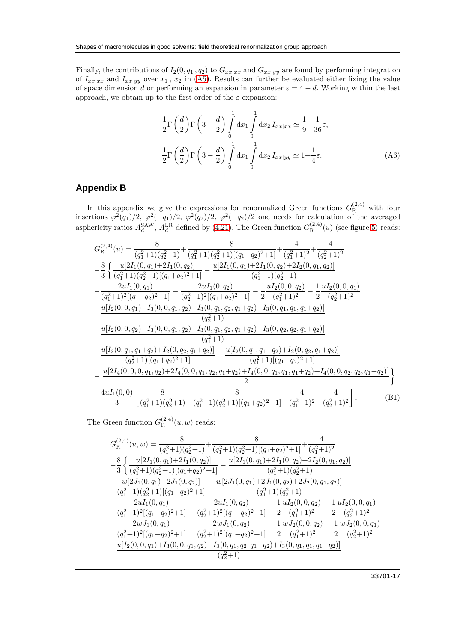Finally, the contributions of  $I_2(0, q_1, q_2)$  to  $G_{xx|xx}$  and  $G_{xx|yy}$  are found by performing integration of  $I_{xx|xx}$  and  $I_{xx|yy}$  over  $x_1$ ,  $x_2$  in [\(A5\)](#page-15-0). Results can further be evaluated either fixing the value of space dimension d or performing an expansion in parameter  $\varepsilon = 4 - d$ . Working within the last approach, we obtain up to the first order of the  $\varepsilon$ -expansion:

$$
\frac{1}{2}\Gamma\left(\frac{d}{2}\right)\Gamma\left(3-\frac{d}{2}\right)\int_{0}^{1}dx_{1}\int_{0}^{1}dx_{2}I_{xx|x_{x}} \simeq \frac{1}{9} + \frac{1}{36}\varepsilon,
$$
\n
$$
\frac{1}{2}\Gamma\left(\frac{d}{2}\right)\Gamma\left(3-\frac{d}{2}\right)\int_{0}^{1}dx_{1}\int_{0}^{1}dx_{2}I_{xx|yy} \simeq 1 + \frac{1}{4}\varepsilon.
$$
\n(A6)

# **Appendix B**

In this appendix we give the expressions for renormalized Green functions  $G_{\rm R}^{(2,4)}$  with four insertions  $\varphi^2(q_1)/2$ ,  $\varphi^2(-q_1)/2$ ,  $\varphi^2(q_2)/2$ ,  $\varphi^2(-q_2)/2$  one needs for calculation of the averaged asphericity ratios  $\hat{A}_d^{\text{SAW}}$ ,  $\hat{A}_d^{\text{LR}}$  defined by [\(4.21\)](#page-9-1). The Green function  $G_{\text{R}}^{(2,4)}(u)$  (see figure [5\)](#page-10-1) reads:

<span id="page-16-0"></span>
$$
G_{\rm R}^{(2,4)}(u) = \frac{8}{(q_1^2+1)(q_2^2+1)} + \frac{8}{(q_1^2+1)(q_2^2+1)[(q_1+q_2)^2+1]} + \frac{4}{(q_1^2+1)^2} + \frac{4}{(q_2^2+1)^2}
$$
  
\n
$$
- \frac{8}{3} \left\{ \frac{u[2I_1(0,q_1)+2I_1(0,q_2)]}{(q_1^2+1)(q_2^2+1)[(q_1+q_2)^2+1]} - \frac{u[2I_1(0,q_1)+2I_1(0,q_2)+2I_2(0,q_1,q_2)]}{(q_1^2+1)(q_2^2+1)} - \frac{2uI_1(0,q_1)}{(q_2^2+1)^2[(q_1+q_2)^2+1]} - \frac{2uI_1(0,q_2)}{(q_2^2+1)^2} - \frac{1}{2} \frac{uI_2(0,0,q_2)}{(q_1^2+1)^2} - \frac{1}{2} \frac{uI_2(0,0,q_1)}{(q_2^2+1)} - \frac{u[I_2(0,0,q_1)+I_3(0,0,q_1,q_2)+I_3(0,q_1,q_2,q_1+q_2)+I_3(0,q_1,q_1,q_1+q_2)]}{(q_2^2+1)}
$$
  
\n
$$
- \frac{u[I_2(0,0,q_2)+I_3(0,0,q_1,q_2)+I_3(0,q_1,q_2,q_1+q_2)+I_3(0,q_2,q_2,q_1+q_2)]}{(q_1^2+1)}
$$
  
\n
$$
- \frac{u[I_2(0,q_1,q_1+q_2)+I_2(0,q_2,q_1+q_2)]}{(q_2^2+1)[(q_1+q_2)^2+1]} - \frac{u[I_2(0,q_1,q_1+q_2)+I_2(0,q_2,q_1+q_2)]}{(q_1^2+1)[(q_1+q_2)^2+1]}
$$
  
\n
$$
- \frac{u[2I_4(0,0,0,q_1,q_2)+2I_4(0,0,q_1,q_2,q_1+q_2)+I_4(0,0,q_1,q_1,q_1+q_2)+I_4(0,0,q_2
$$

The Green function  $G_{\mathcal{R}}^{(2,4)}(u,w)$  reads:

$$
\begin{split} &G^{(2,4)}_{\text{R}}(u,w)=\frac{8}{(q_1^2+1)(q_2^2+1)}+\frac{8}{(q_1^2+1)(q_2^2+1)[(q_1+q_2)^2+1]}+\frac{4}{(q_1^2+1)^2}\\ &-\frac{8}{3}\left\{\frac{u[2I_1(0,q_1)+2I_1(0,q_2)]}{(q_1^2+1)(q_2^2+1)[(q_1+q_2)^2+1]}-\frac{u[2I_1(0,q_1)+2I_1(0,q_2)+2I_2(0,q_1,q_2)]}{(q_1^2+1)(q_2^2+1)}\right.\\ &-\frac{w[2J_1(0,q_1)+2J_1(0,q_2)]}{(q_1^2+1)(q_2^2+1)[(q_1+q_2)^2+1]}-\frac{w[2J_1(0,q_1)+2J_1(0,q_2)+2J_2(0,q_1,q_2)]}{(q_1^2+1)(q_2^2+1)}\\ &-\frac{2uI_1(0,q_1)}{(q_1^2+1)^2[(q_1+q_2)^2+1]}-\frac{2uI_1(0,q_2)}{(q_2^2+1)^2[(q_1+q_2)^2+1]}-\frac{1}{2}\frac{uI_2(0,0,q_2)}{(q_1^2+1)^2}-\frac{1}{2}\frac{uI_2(0,0,q_1)}{(q_2^2+1)^2}\\ &-\frac{2wJ_1(0,q_1)}{(q_1^2+1)^2[(q_1+q_2)^2+1]}-\frac{2wJ_1(0,q_2)}{(q_2^2+1)^2[(q_1+q_2)^2+1]}-\frac{1}{2}\frac{wJ_2(0,0,q_2)}{(q_1^2+1)^2}-\frac{1}{2}\frac{wJ_2(0,0,q_1)}{(q_2^2+1)^2}\\ &-\frac{u[I_2(0,0,q_1)+I_3(0,0,q_1,q_2)+I_3(0,q_1,q_2,q_1+q_2)+I_3(0,q_1,q_1,q_1+q_2)]}{(q_2^2+1)}\\ &-\frac{u[I_2(0,0,q_1)+I_3(0,0,q_1,q_2)+I_3(0,q_1,q_2,q_1+q_2)+I_3(0,q_1,q_1,q_1+q_2
$$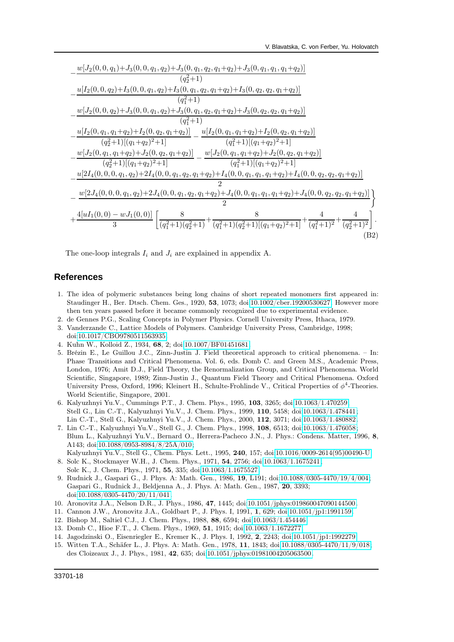<span id="page-17-15"></span>

| $w[J_2(0, 0, q_1)+J_3(0, 0, q_1, q_2)+J_3(0, q_1, q_2, q_1+q_2)+J_3(0, q_1, q_1, q_1+q_2)]$                                                                           |
|-----------------------------------------------------------------------------------------------------------------------------------------------------------------------|
| $(q_2^2+1)$                                                                                                                                                           |
| $u[I_2(0, 0, q_2)+I_3(0, 0, q_1, q_2)+I_3(0, q_1, q_2, q_1+q_2)+I_3(0, q_2, q_2, q_1+q_2)]$                                                                           |
| $(q_1^2+1)$                                                                                                                                                           |
| $w[J_2(0, 0, q_2)+J_3(0, 0, q_1, q_2)+J_3(0, q_1, q_2, q_1+q_2)+J_3(0, q_2, q_2, q_1+q_2)]$                                                                           |
| $(q_1^2+1)$                                                                                                                                                           |
| $u[I_2(0, q_1, q_1+q_2)+I_2(0, q_2, q_1+q_2)]$ $u[I_2(0, q_1, q_1+q_2)+I_2(0, q_2, q_1+q_2)]$                                                                         |
| $(q_2^2+1)[(q_1+q_2)^2+1]$<br>$(q_1^2+1)[(q_1+q_2)^2+1]$                                                                                                              |
| $w[J_2(0, q_1, q_1+q_2)+J_2(0, q_2, q_1+q_2)]$ $w[J_2(0, q_1, q_1+q_2)+J_2(0, q_2, q_1+q_2)]$                                                                         |
| $(q_2^2+1)[(q_1+q_2)^2+1]$<br>$(q_1^2+1)[(q_1+q_2)^2+1]$                                                                                                              |
| $u[2I_4(0,0,0,q_1,q_2)+2I_4(0,0,q_1,q_2,q_1+q_2)+I_4(0,0,q_1,q_1,q_1+q_2)+I_4(0,0,q_2,q_2,q_1+q_2)]$                                                                  |
| 2                                                                                                                                                                     |
| $w[2J_4(0,0,0,q_1,q_2)+2J_4(0,0,q_1,q_2,q_1+q_2)+J_4(0,0,q_1,q_1,q_1+q_2)+J_4(0,0,q_2,q_2,q_1+q_2)]$                                                                  |
| $\mathfrak{D}$                                                                                                                                                        |
| $+\frac{4[uI_1(0,0)-wJ_1(0,0)]}{3}\left[\frac{8}{(q_1^2+1)(q_2^2+1)}+\frac{8}{(q_1^2+1)(q_2^2+1)[(q_1+q_2)^2+1]}+\frac{4}{(q_1^2+1)^2}+\frac{4}{(q_2^2+1)^2}\right].$ |
|                                                                                                                                                                       |
| (B2)                                                                                                                                                                  |

The one-loop integrals  $I_i$  and  $J_i$  are explained in appendix A.

### **References**

- <span id="page-17-0"></span>1. The idea of polymeric substances being long chains of short repeated monomers first appeared in: Staudinger H., Ber. Dtsch. Chem. Ges., 1920, 53, 1073; doi[:10.1002/cber.19200530627.](http://dx.doi.org/10.1002/cber.19200530627) However more then ten years passed before it became commonly recognized due to experimental evidence.
- <span id="page-17-1"></span>2. de Gennes P.G., Scaling Concepts in Polymer Physics. Cornell University Press, Ithaca, 1979.
- <span id="page-17-2"></span>3. Vanderzande C., Lattice Models of Polymers. Cambridge University Press, Cambridge, 1998; doi[:10.1017/CBO9780511563935.](http://dx.doi.org/10.1017/CBO9780511563935)
- <span id="page-17-3"></span>4. Kuhn W., Kolloid Z., 1934, 68, 2; doi[:10.1007/BF01451681.](http://dx.doi.org/10.1007/BF01451681)
- <span id="page-17-4"></span>5. Brézin E., Le Guillou J.C., Zinn-Justin J. Field theoretical approach to critical phenomena. – In: Phase Transitions and Critical Phenomena. Vol. 6, eds. Domb C. and Green M.S., Academic Press, London, 1976; Amit D.J., Field Theory, the Renormalization Group, and Critical Phenomena. World Scientific, Singapore, 1989; Zinn-Justin J., Quantum Field Theory and Critical Phenomena. Oxford University Press, Oxford, 1996; Kleinert H., Schulte-Frohlinde V., Critical Properties of  $\phi^4$ -Theories. World Scientific, Singapore, 2001.
- <span id="page-17-5"></span>6. Kalyuzhnyi Yu.V., Cummings P.T., J. Chem. Phys., 1995, 103, 3265; doi[:10.1063/1.470259;](http://dx.doi.org/10.1063/1.470259) Stell G., Lin C.-T., Kalyuzhnyi Yu.V., J. Chem. Phys., 1999, 110, 5458; doi[:10.1063/1.478441;](http://dx.doi.org/10.1063/1.478441) Lin C.-T., Stell G., Kalyuzhnyi Yu.V., J. Chem. Phys., 2000, 112, 3071; doi[:10.1063/1.480882.](http://dx.doi.org/10.1063/1.480882)
- <span id="page-17-6"></span>7. Lin C.-T., Kalyuzhnyi Yu.V., Stell G., J. Chem. Phys., 1998, 108, 6513; doi[:10.1063/1.476058;](http://dx.doi.org/10.1063/1.476058) Blum L., Kalyuzhnyi Yu.V., Bernard O., Herrera-Pacheco J.N., J. Phys.: Condens. Matter, 1996, 8, A143; doi[:10.1088/0953-8984/8/25A/010;](http://dx.doi.org/10.1088/0953-8984/8/25A/010) Kalyuzhnyi Yu.V., Stell G., Chem. Phys. Lett., 1995, 240, 157; doi[:10.1016/0009-2614\(95\)00490-U.](http://dx.doi.org/10.1016/0009-2614(95)00490-U)
- <span id="page-17-7"></span>8. Solc K., Stockmayer W.H., J. Chem. Phys., 1971, 54, 2756; doi[:10.1063/1.1675241;](http://dx.doi.org/10.1063/1.1675241) Solc K., J. Chem. Phys., 1971, 55, 335; doi[:10.1063/1.1675527.](http://dx.doi.org/10.1063/1.1675527)
- <span id="page-17-8"></span>9. Rudnick J., Gaspari G., J. Phys. A: Math. Gen., 1986, 19, L191; doi[:10.1088/0305-4470/19/4/004;](http://dx.doi.org/10.1088/0305-4470/19/4/004) Gaspari G., Rudnick J., Beldjenna A., J. Phys. A: Math. Gen., 1987, 20, 3393; doi[:10.1088/0305-4470/20/11/041.](http://dx.doi.org/10.1088/0305-4470/20/11/041)
- <span id="page-17-10"></span>10. Aronovitz J.A., Nelson D.R., J. Phys., 1986, 47, 1445; doi[:10.1051/jphys:019860047090144500.](http://dx.doi.org/10.1051/jphys:019860047090144500)
- <span id="page-17-11"></span>11. Cannon J.W., Aronovitz J.A., Goldbart P., J. Phys. I, 1991, 1, 629; doi[:10.1051/jp1:1991159.](http://dx.doi.org/10.1051/jp1:1991159)
- <span id="page-17-13"></span>12. Bishop M., Saltiel C.J., J. Chem. Phys., 1988, 88, 6594; doi[:10.1063/1.454446.](http://dx.doi.org/10.1063/1.454446)
- <span id="page-17-12"></span>13. Domb C., Hioe F.T., J. Chem. Phys., 1969, 51, 1915; doi[:10.1063/1.1672277.](http://dx.doi.org/10.1063/1.1672277)
- <span id="page-17-14"></span>14. Jagodzinski O., Eisenriegler E., Kremer K., J. Phys. I, 1992, 2, 2243; doi[:10.1051/jp1:1992279.](http://dx.doi.org/10.1051/jp1:1992279)
- <span id="page-17-9"></span>15. Witten T.A., Schäfer L., J. Phys. A: Math. Gen., 1978, 11, 1843; doi[:10.1088/0305-4470/11/9/018;](http://dx.doi.org/10.1088/0305-4470/11/9/018) des Cloizeaux J., J. Phys., 1981, 42, 635; doi[:10.1051/jphys:01981004205063500.](http://dx.doi.org/10.1051/jphys:01981004205063500)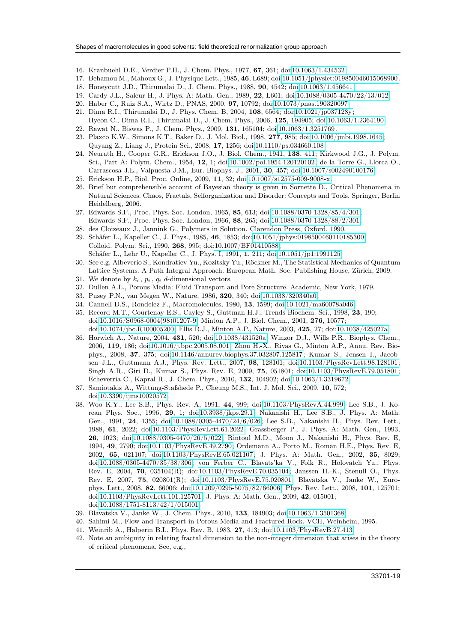- <span id="page-18-5"></span>16. Kranbuehl D.E., Verdier P.H., J. Chem. Phys., 1977, 67, 361; doi[:10.1063/1.434532.](http://dx.doi.org/10.1063/1.434532)
- <span id="page-18-6"></span>17. Behamou M., Mahoux G., J. Physique Lett., 1985, 46, L689; doi[:10.1051/jphyslet:019850046015068900.](http://dx.doi.org/10.1051/jphyslet:019850046015068900)
- <span id="page-18-8"></span>18. Honeycutt J.D., Thirumalai D., J. Chem. Phys., 1988, 90, 4542; doi[:10.1063/1.456641.](http://dx.doi.org/10.1063/1.456641)
- 19. Cardy J.L., Saleur H., J. Phys. A: Math. Gen., 1989, 22, L601; doi[:10.1088/0305-4470/22/13/012.](http://dx.doi.org/10.1088/0305-4470/22/13/012)
- 20. Haber C., Ruiz S.A., Wirtz D., PNAS, 2000, 97, 10792; doi[:10.1073/pnas.190320097.](http://dx.doi.org/10.1073/pnas.190320097)
- <span id="page-18-7"></span>21. Dima R.I., Thirumalai D., J. Phys. Chem. B, 2004, 108, 6564; doi[:10.1021/jp037128y;](http://dx.doi.org/10.1021/jp037128y)
- Hyeon C., Dima R.I., Thirumalai D., J. Chem. Phys., 2006, 125, 194905; doi[:10.1063/1.2364190.](http://dx.doi.org/10.1063/1.2364190)
- <span id="page-18-0"></span>22. Rawat N., Biswas P., J. Chem. Phys., 2009, 131, 165104; doi[:10.1063/1.3251769.](http://dx.doi.org/10.1063/1.3251769)
- <span id="page-18-1"></span>23. Plaxco K.W., Simons K.T., Baker D., J. Mol. Biol., 1998, 277, 985; doi[:10.1006/jmbi.1998.1645;](http://dx.doi.org/10.1006/jmbi.1998.1645) Quyang Z., Liang J., Protein Sci., 2008, 17, 1256; doi[:10.1110/ps.034660.108.](http://dx.doi.org/10.1110/ps.034660.108)
- <span id="page-18-2"></span>24. Neurath H., Cooper G.R., Erickson J.O., J. Biol. Chem., 1941, 138, 411; Kirkwood J.G., J. Polym. Sci., Part A: Polym. Chem., 1954, 12, 1; doi[:10.1002/pol.1954.120120102;](http://dx.doi.org/10.1002/pol.1954.120120102) de la Torre G., Llorca O., Carrascosa J.L., Valpuesta J.M., Eur. Biophys. J., 2001, 30, 457; doi[:10.1007/s002490100176.](http://dx.doi.org/10.1007/s002490100176)
- <span id="page-18-3"></span>25. Erickson H.P., Biol. Proc. Online, 2009, 11, 32; doi[:10.1007/s12575-009-9008-x.](http://dx.doi.org/10.1007/s12575-009-9008-x)
- <span id="page-18-4"></span>26. Brief but comprehensible account of Bayesian theory is given in Sornette D., Critical Phenomena in Natural Sciences. Chaos, Fractals, Selforganization and Disorder: Concepts and Tools. Springer, Berlin Heidelberg, 2006.
- <span id="page-18-9"></span>27. Edwards S.F., Proc. Phys. Soc. London, 1965, 85, 613; doi[:10.1088/0370-1328/85/4/301;](http://dx.doi.org/10.1088/0370-1328/85/4/301) Edwards S.F., Proc. Phys. Soc. London, 1966, 88, 265; doi[:10.1088/0370-1328/88/2/301.](http://dx.doi.org/10.1088/0370-1328/88/2/301)
- <span id="page-18-10"></span>28. des Cloizeaux J., Jannink G., Polymers in Solution. Clarendon Press, Oxford, 1990.
- <span id="page-18-11"></span>29. Schäfer L., Kapeller C., J. Phys., 1985, 46, 1853; doi[:10.1051/jphys:0198500460110185300;](http://dx.doi.org/10.1051/jphys:0198500460110185300) Colloid. Polym. Sci., 1990, 268, 995; doi[:10.1007/BF01410588;](http://dx.doi.org/10.1007/BF01410588) Schäfer L., Lehr U., Kapeller C., J. Phys. I, 1991, 1, 211; doi[:10.1051/jp1:1991125.](http://dx.doi.org/10.1051/jp1:1991125)
- <span id="page-18-12"></span>30. See e.g. Albeverio S., Kondratiev Yu., Kozitsky Yu., Röckner M., The Statistical Mechanics of Quantum Lattice Systems. A Path Integral Approach. European Math. Soc. Publishing House, Zürich, 2009.
- <span id="page-18-13"></span>31. We denote by  $k_i$ ,  $p_i$ ,  $q_i$  d-dimensional vectors.
- <span id="page-18-14"></span>32. Dullen A.L., Porous Media: Fluid Transport and Pore Structure. Academic, New York, 1979.
- <span id="page-18-15"></span>33. Pusey P.N., van Megen W., Nature, 1986, 320, 340; doi[:10.1038/320340a0.](http://dx.doi.org/10.1038/320340a0)
- <span id="page-18-16"></span>34. Cannell D.S., Rondelez F., Macromolecules, 1980, 13, 1599; doi[:10.1021/ma60078a046.](http://dx.doi.org/10.1021/ma60078a046)
- <span id="page-18-17"></span>35. Record M.T., Courtenay E.S., Cayley S., Guttman H.J., Trends Biochem. Sci., 1998, 23, 190; doi[:10.1016/S0968-0004\(98\)01207-9;](http://dx.doi.org/10.1016/S0968-0004(98)01207-9) Minton A.P., J. Biol. Chem., 2001, 276, 10577;
	- doi[:10.1074/jbc.R100005200;](http://dx.doi.org/10.1074/jbc.R100005200) Ellis R.J., Minton A.P., Nature, 2003, 425, 27; doi[:10.1038/425027a.](http://dx.doi.org/10.1038/425027a)
- <span id="page-18-18"></span>36. Horwich A., Nature, 2004, 431, 520; doi[:10.1038/431520a;](http://dx.doi.org/10.1038/431520a) Winzor D.J., Wills P.R., Biophys. Chem., 2006, 119, 186; doi[:10.1016/j.bpc.2005.08.001;](http://dx.doi.org/10.1016/j.bpc.2005.08.001) Zhou H.-X., Rivas G., Minton A.P., Annu. Rev. Biophys., 2008, 37, 375; doi[:10.1146/annurev.biophys.37.032807.125817;](http://dx.doi.org/10.1146/annurev.biophys.37.032807.125817) Kumar S., Jensen I., Jacobsen J.L., Guttmann A.J., Phys. Rev. Lett., 2007, 98, 128101; doi[:10.1103/PhysRevLett.98.128101;](http://dx.doi.org/10.1103/PhysRevLett.98.128101) Singh A.R., Giri D., Kumar S., Phys. Rev. E, 2009, 75, 051801; doi[:10.1103/PhysRevE.79.051801;](http://dx.doi.org/10.1103/PhysRevE.79.051801) Echeverria C., Kapral R., J. Chem. Phys., 2010, 132, 104902; doi[:10.1063/1.3319672.](http://dx.doi.org/10.1063/1.3319672)
- <span id="page-18-19"></span>37. Samiotakis A., Wittung-Stafshede P., Cheung M.S., Int. J. Mol. Sci., 2009, 10, 572; doi[:10.3390/ijms10020572.](http://dx.doi.org/10.3390/ijms10020572)
- <span id="page-18-20"></span>38. Woo K.Y., Lee S.B., Phys. Rev. A, 1991, 44, 999; doi[:10.1103/PhysRevA.44.999;](http://dx.doi.org/10.1103/PhysRevA.44.999) Lee S.B., J. Korean Phys. Soc., 1996, 29, 1; doi[:10.3938/jkps.29.1;](http://dx.doi.org/10.3938/jkps.29.1) Nakanishi H., Lee S.B., J. Phys. A: Math. Gen., 1991, 24, 1355; doi[:10.1088/0305-4470/24/6/026;](http://dx.doi.org/10.1088/0305-4470/24/6/026) Lee S.B., Nakanishi H., Phys. Rev. Lett., 1988, 61, 2022; doi[:10.1103/PhysRevLett.61.2022;](http://dx.doi.org/10.1103/PhysRevLett.61.2022) Grassberger P., J. Phys. A: Math. Gen., 1993, 26, 1023; doi[:10.1088/0305-4470/26/5/022;](http://dx.doi.org/10.1088/0305-4470/26/5/022) Rintoul M.D., Moon J., Nakanishi H., Phys. Rev. E, 1994, 49, 2790; doi[:10.1103/PhysRevE.49.2790;](http://dx.doi.org/10.1103/PhysRevE.49.2790) Ordemann A., Porto M., Roman H.E., Phys. Rev. E, 2002, 65, 021107; doi[:10.1103/PhysRevE.65.021107;](http://dx.doi.org/10.1103/PhysRevE.65.021107) J. Phys. A: Math. Gen., 2002, 35, 8029; doi[:10.1088/0305-4470/35/38/306;](http://dx.doi.org/10.1088/0305-4470/35/38/306) von Ferber C., Blavats'ka V., Folk R., Holovatch Yu., Phys. Rev. E, 2004, 70, 035104(R); doi[:10.1103/PhysRevE.70.035104;](http://dx.doi.org/10.1103/PhysRevE.70.035104) Janssen H.-K., Stenull O., Phys. Rev. E, 2007, 75, 020801(R); doi[:10.1103/PhysRevE.75.020801;](http://dx.doi.org/10.1103/PhysRevE.75.020801) Blavatska V., Janke W., Europhys. Lett., 2008, 82, 66006; doi[:10.1209/0295-5075/82/66006;](http://dx.doi.org/10.1209/0295-5075/82/66006) Phys. Rev. Lett., 2008, 101, 125701; doi[:10.1103/PhysRevLett.101.125701;](http://dx.doi.org/10.1103/PhysRevLett.101.125701) J. Phys. A: Math. Gen., 2009, 42, 015001; doi[:10.1088/1751-8113/42/1/015001.](http://dx.doi.org/10.1088/1751-8113/42/1/015001)
- <span id="page-18-21"></span>39. Blavatska V., Janke W., J. Chem. Phys., 2010, 133, 184903; doi[:10.1063/1.3501368.](http://dx.doi.org/10.1063/1.3501368)
- <span id="page-18-22"></span>40. Sahimi M., Flow and Transport in Porous Media and Fractured Rock. VCH, Weinheim, 1995.
- <span id="page-18-23"></span>41. Weinrib A., Halperin B.I., Phys. Rev. B, 1983, 27, 413; doi[:10.1103/PhysRevB.27.413.](http://dx.doi.org/10.1103/PhysRevB.27.413)
- <span id="page-18-24"></span>42. Note an ambiguity in relating fractal dimension to the non-integer dimension that arises in the theory of critical phenomena. See, e.g.,